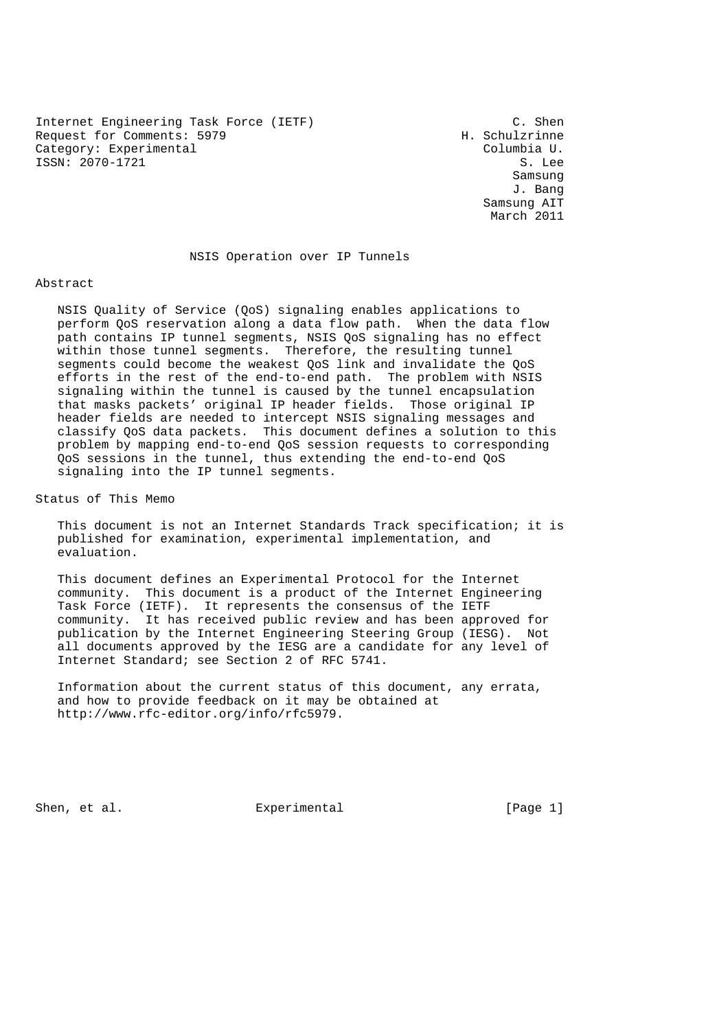Internet Engineering Task Force (IETF) (C. Shen<br>Request for Comments: 5979 (H. Schulzrinne Request for Comments: 5979 Category: Experimental Columbia U. ISSN: 2070-1721 S. Lee

 Samsung J. Bang Samsung AIT March 2011

#### NSIS Operation over IP Tunnels

#### Abstract

 NSIS Quality of Service (QoS) signaling enables applications to perform QoS reservation along a data flow path. When the data flow path contains IP tunnel segments, NSIS QoS signaling has no effect within those tunnel segments. Therefore, the resulting tunnel segments could become the weakest QoS link and invalidate the QoS efforts in the rest of the end-to-end path. The problem with NSIS signaling within the tunnel is caused by the tunnel encapsulation that masks packets' original IP header fields. Those original IP header fields are needed to intercept NSIS signaling messages and classify QoS data packets. This document defines a solution to this problem by mapping end-to-end QoS session requests to corresponding QoS sessions in the tunnel, thus extending the end-to-end QoS signaling into the IP tunnel segments.

Status of This Memo

 This document is not an Internet Standards Track specification; it is published for examination, experimental implementation, and evaluation.

 This document defines an Experimental Protocol for the Internet community. This document is a product of the Internet Engineering Task Force (IETF). It represents the consensus of the IETF community. It has received public review and has been approved for publication by the Internet Engineering Steering Group (IESG). Not all documents approved by the IESG are a candidate for any level of Internet Standard; see Section 2 of RFC 5741.

 Information about the current status of this document, any errata, and how to provide feedback on it may be obtained at http://www.rfc-editor.org/info/rfc5979.

Shen, et al. Experimental [Page 1]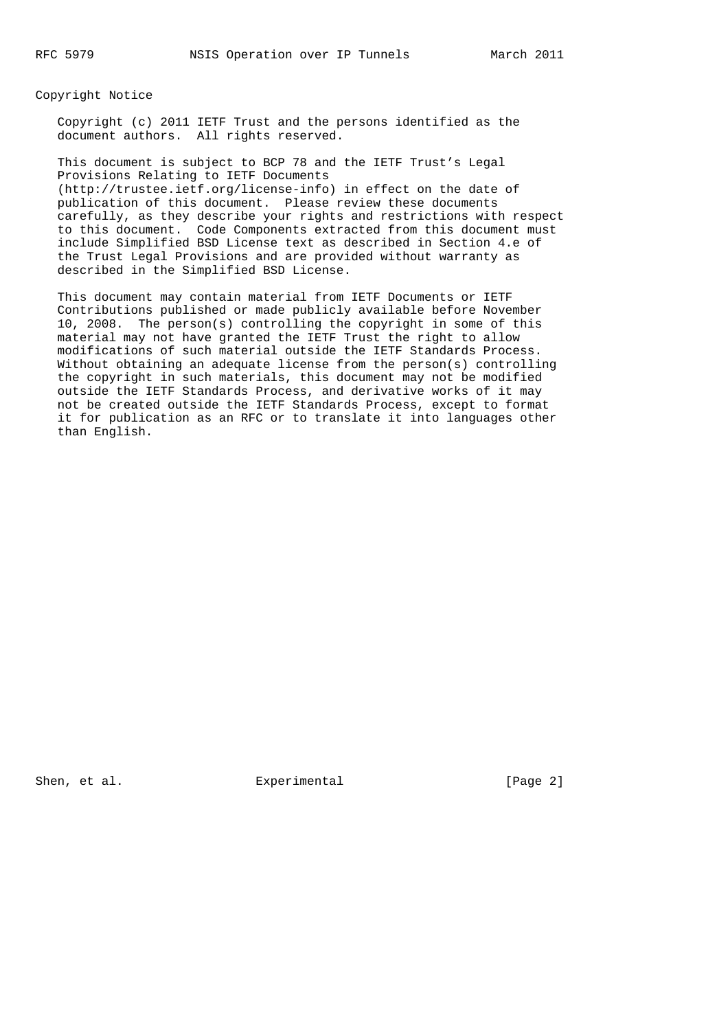Copyright Notice

 Copyright (c) 2011 IETF Trust and the persons identified as the document authors. All rights reserved.

 This document is subject to BCP 78 and the IETF Trust's Legal Provisions Relating to IETF Documents (http://trustee.ietf.org/license-info) in effect on the date of publication of this document. Please review these documents carefully, as they describe your rights and restrictions with respect to this document. Code Components extracted from this document must include Simplified BSD License text as described in Section 4.e of the Trust Legal Provisions and are provided without warranty as described in the Simplified BSD License.

 This document may contain material from IETF Documents or IETF Contributions published or made publicly available before November 10, 2008. The person(s) controlling the copyright in some of this material may not have granted the IETF Trust the right to allow modifications of such material outside the IETF Standards Process. Without obtaining an adequate license from the person(s) controlling the copyright in such materials, this document may not be modified outside the IETF Standards Process, and derivative works of it may not be created outside the IETF Standards Process, except to format it for publication as an RFC or to translate it into languages other than English.

Shen, et al. Experimental [Page 2]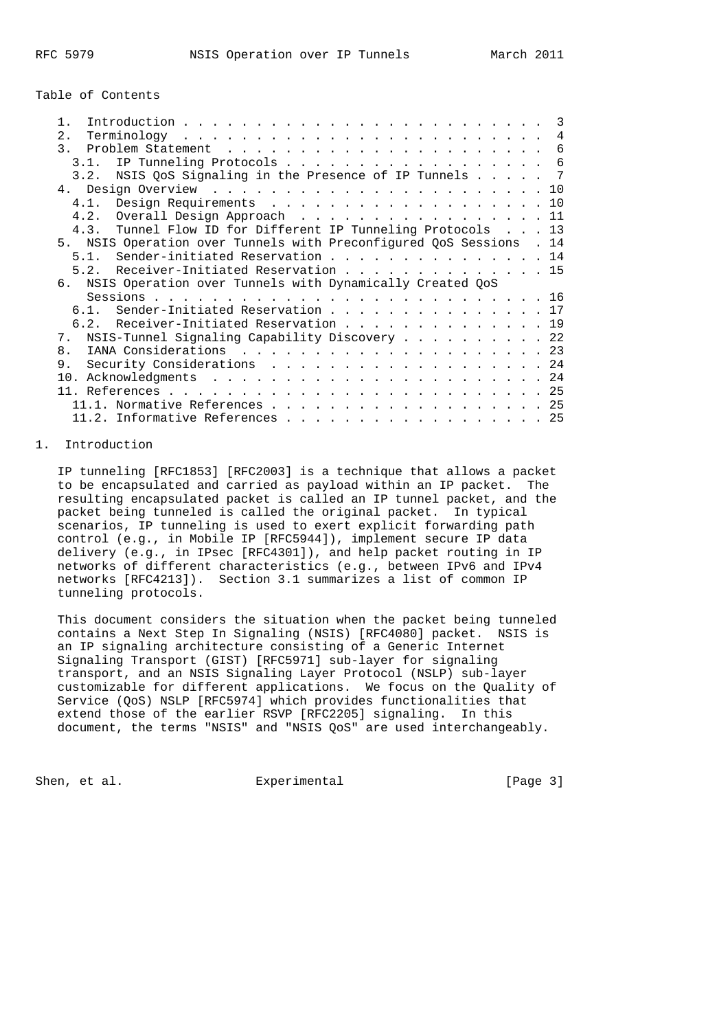# Table of Contents

|                                                                   | $\mathcal{R}$ |
|-------------------------------------------------------------------|---------------|
| 2.1                                                               | 4             |
|                                                                   |               |
| IP Tunneling Protocols<br>3 1                                     | -6            |
| NSIS QoS Signaling in the Presence of IP Tunnels<br>3.2.          | - 7           |
|                                                                   |               |
| 4.1. Design Requirements 10                                       |               |
| 4.2. Overall Design Approach 11                                   |               |
| 4.3. Tunnel Flow ID for Different IP Tunneling Protocols 13       |               |
| NSIS Operation over Tunnels with Preconfigured OoS Sessions<br>5. | . 14          |
| 5.1. Sender-initiated Reservation 14                              |               |
| 5.2. Receiver-Initiated Reservation 15                            |               |
| NSIS Operation over Tunnels with Dynamically Created QoS<br>რ.    |               |
|                                                                   |               |
| 6.1. Sender-Initiated Reservation 17                              |               |
| 6.2. Receiver-Initiated Reservation 19                            |               |
| 7. NSIS-Tunnel Signaling Capability Discovery 22                  |               |
| 8.                                                                |               |
| 9.<br>Security Considerations 24                                  |               |
|                                                                   |               |
|                                                                   |               |
| 11.1. Normative References 25                                     |               |
| $11.2.$ Informative References 25                                 |               |
|                                                                   |               |

# 1. Introduction

 IP tunneling [RFC1853] [RFC2003] is a technique that allows a packet to be encapsulated and carried as payload within an IP packet. The resulting encapsulated packet is called an IP tunnel packet, and the packet being tunneled is called the original packet. In typical scenarios, IP tunneling is used to exert explicit forwarding path control (e.g., in Mobile IP [RFC5944]), implement secure IP data delivery (e.g., in IPsec [RFC4301]), and help packet routing in IP networks of different characteristics (e.g., between IPv6 and IPv4 networks [RFC4213]). Section 3.1 summarizes a list of common IP tunneling protocols.

 This document considers the situation when the packet being tunneled contains a Next Step In Signaling (NSIS) [RFC4080] packet. NSIS is an IP signaling architecture consisting of a Generic Internet Signaling Transport (GIST) [RFC5971] sub-layer for signaling transport, and an NSIS Signaling Layer Protocol (NSLP) sub-layer customizable for different applications. We focus on the Quality of Service (QoS) NSLP [RFC5974] which provides functionalities that extend those of the earlier RSVP [RFC2205] signaling. In this document, the terms "NSIS" and "NSIS QoS" are used interchangeably.

Shen, et al. Experimental [Page 3]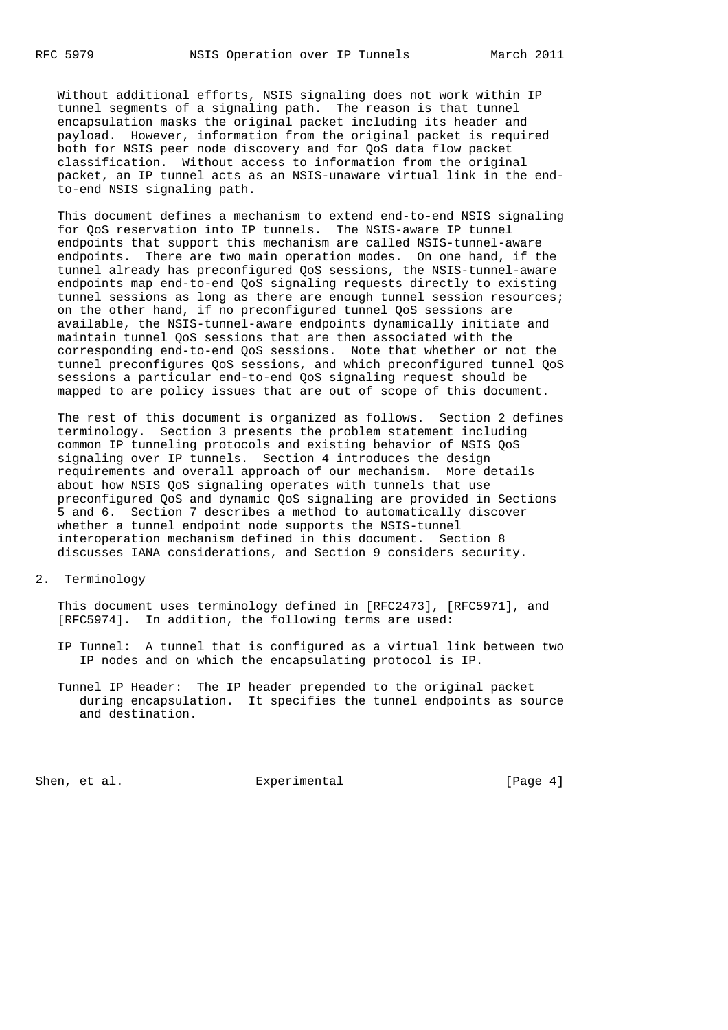Without additional efforts, NSIS signaling does not work within IP tunnel segments of a signaling path. The reason is that tunnel encapsulation masks the original packet including its header and payload. However, information from the original packet is required both for NSIS peer node discovery and for QoS data flow packet classification. Without access to information from the original packet, an IP tunnel acts as an NSIS-unaware virtual link in the end to-end NSIS signaling path.

 This document defines a mechanism to extend end-to-end NSIS signaling for QoS reservation into IP tunnels. The NSIS-aware IP tunnel endpoints that support this mechanism are called NSIS-tunnel-aware endpoints. There are two main operation modes. On one hand, if the tunnel already has preconfigured QoS sessions, the NSIS-tunnel-aware endpoints map end-to-end QoS signaling requests directly to existing tunnel sessions as long as there are enough tunnel session resources; on the other hand, if no preconfigured tunnel QoS sessions are available, the NSIS-tunnel-aware endpoints dynamically initiate and maintain tunnel QoS sessions that are then associated with the corresponding end-to-end QoS sessions. Note that whether or not the tunnel preconfigures QoS sessions, and which preconfigured tunnel QoS sessions a particular end-to-end QoS signaling request should be mapped to are policy issues that are out of scope of this document.

 The rest of this document is organized as follows. Section 2 defines terminology. Section 3 presents the problem statement including common IP tunneling protocols and existing behavior of NSIS QoS signaling over IP tunnels. Section 4 introduces the design requirements and overall approach of our mechanism. More details about how NSIS QoS signaling operates with tunnels that use preconfigured QoS and dynamic QoS signaling are provided in Sections 5 and 6. Section 7 describes a method to automatically discover whether a tunnel endpoint node supports the NSIS-tunnel interoperation mechanism defined in this document. Section 8 discusses IANA considerations, and Section 9 considers security.

2. Terminology

 This document uses terminology defined in [RFC2473], [RFC5971], and [RFC5974]. In addition, the following terms are used:

- IP Tunnel: A tunnel that is configured as a virtual link between two IP nodes and on which the encapsulating protocol is IP.
- Tunnel IP Header: The IP header prepended to the original packet during encapsulation. It specifies the tunnel endpoints as source and destination.

Shen, et al. Shen, et al. Experimental Experimental [Page 4]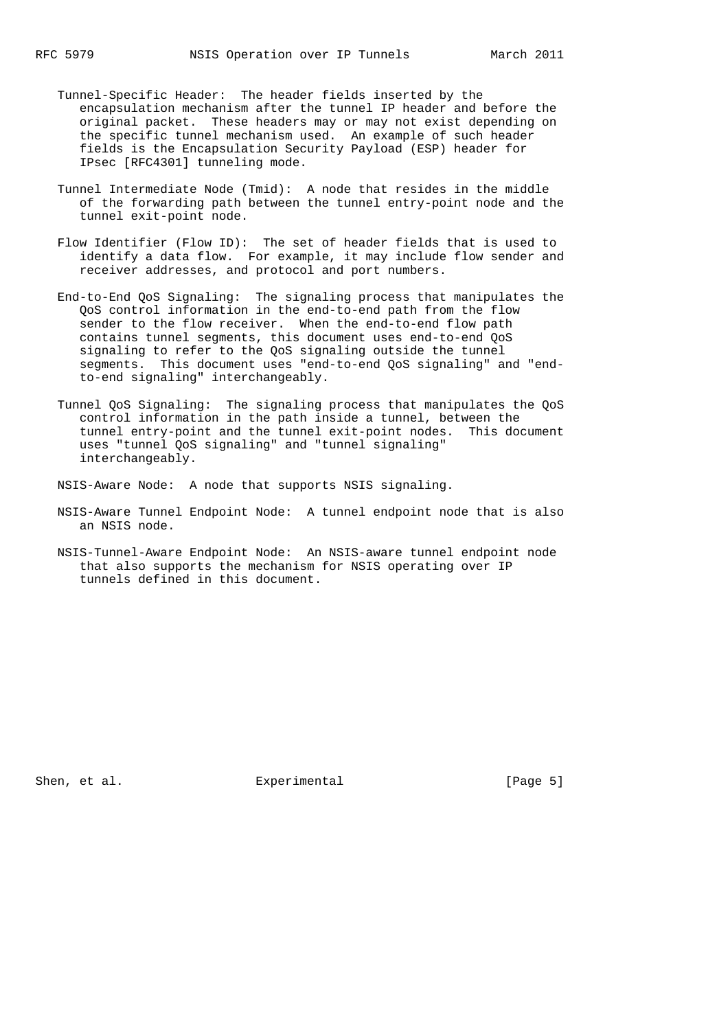- Tunnel-Specific Header: The header fields inserted by the encapsulation mechanism after the tunnel IP header and before the original packet. These headers may or may not exist depending on the specific tunnel mechanism used. An example of such header fields is the Encapsulation Security Payload (ESP) header for IPsec [RFC4301] tunneling mode.
- Tunnel Intermediate Node (Tmid): A node that resides in the middle of the forwarding path between the tunnel entry-point node and the tunnel exit-point node.
- Flow Identifier (Flow ID): The set of header fields that is used to identify a data flow. For example, it may include flow sender and receiver addresses, and protocol and port numbers.
- End-to-End QoS Signaling: The signaling process that manipulates the QoS control information in the end-to-end path from the flow sender to the flow receiver. When the end-to-end flow path contains tunnel segments, this document uses end-to-end QoS signaling to refer to the QoS signaling outside the tunnel segments. This document uses "end-to-end QoS signaling" and "end to-end signaling" interchangeably.
- Tunnel QoS Signaling: The signaling process that manipulates the QoS control information in the path inside a tunnel, between the tunnel entry-point and the tunnel exit-point nodes. This document uses "tunnel QoS signaling" and "tunnel signaling" interchangeably.
- NSIS-Aware Node: A node that supports NSIS signaling.
- NSIS-Aware Tunnel Endpoint Node: A tunnel endpoint node that is also an NSIS node.
- NSIS-Tunnel-Aware Endpoint Node: An NSIS-aware tunnel endpoint node that also supports the mechanism for NSIS operating over IP tunnels defined in this document.

Shen, et al. Experimental [Page 5]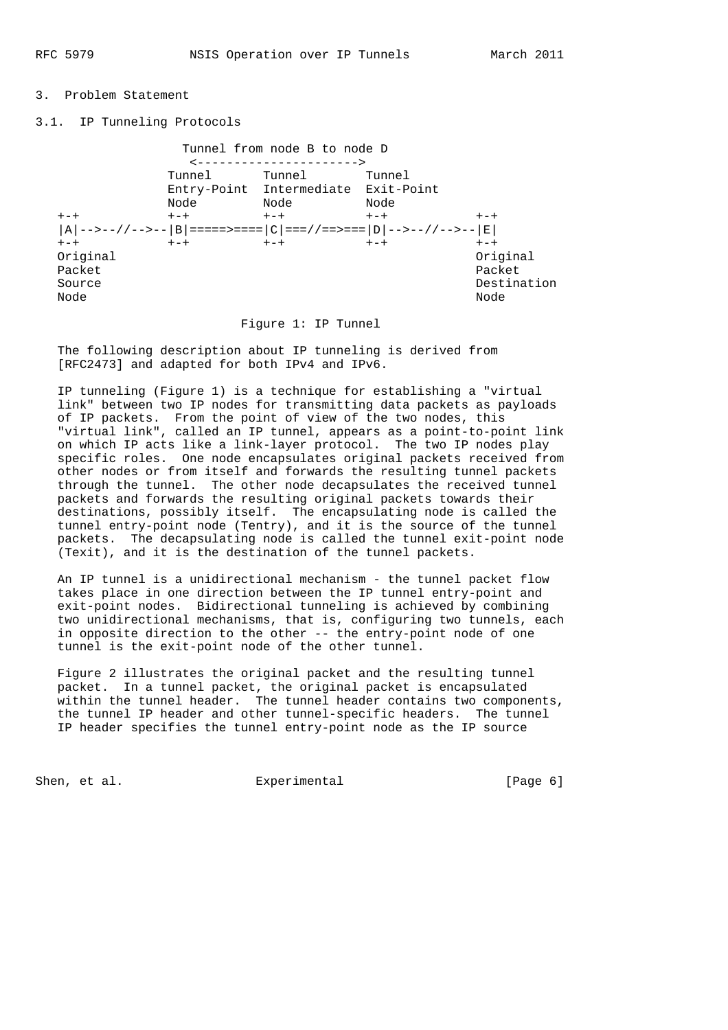# 3. Problem Statement

# 3.1. IP Tunneling Protocols

 Tunnel from node B to node D <----------------------> Tunnel Tunnel Tunnel Entry-Point Intermediate Exit-Point Node Node Node +-+ +-+ +-+ +-+ +-+  $|A|$ -->--//-->-- $|B|$ =====>==== $|C|$ ===//==>=== $|D|$ -->--//-->-- $|E|$  +-+ +-+ +-+ +-+ +-+ Original Original Packet Packet Source Destination Node Node

#### Figure 1: IP Tunnel

 The following description about IP tunneling is derived from [RFC2473] and adapted for both IPv4 and IPv6.

 IP tunneling (Figure 1) is a technique for establishing a "virtual link" between two IP nodes for transmitting data packets as payloads of IP packets. From the point of view of the two nodes, this "virtual link", called an IP tunnel, appears as a point-to-point link on which IP acts like a link-layer protocol. The two IP nodes play specific roles. One node encapsulates original packets received from other nodes or from itself and forwards the resulting tunnel packets through the tunnel. The other node decapsulates the received tunnel packets and forwards the resulting original packets towards their destinations, possibly itself. The encapsulating node is called the tunnel entry-point node (Tentry), and it is the source of the tunnel packets. The decapsulating node is called the tunnel exit-point node (Texit), and it is the destination of the tunnel packets.

 An IP tunnel is a unidirectional mechanism - the tunnel packet flow takes place in one direction between the IP tunnel entry-point and exit-point nodes. Bidirectional tunneling is achieved by combining two unidirectional mechanisms, that is, configuring two tunnels, each in opposite direction to the other -- the entry-point node of one tunnel is the exit-point node of the other tunnel.

 Figure 2 illustrates the original packet and the resulting tunnel packet. In a tunnel packet, the original packet is encapsulated within the tunnel header. The tunnel header contains two components, the tunnel IP header and other tunnel-specific headers. The tunnel IP header specifies the tunnel entry-point node as the IP source

Shen, et al. Experimental [Page 6]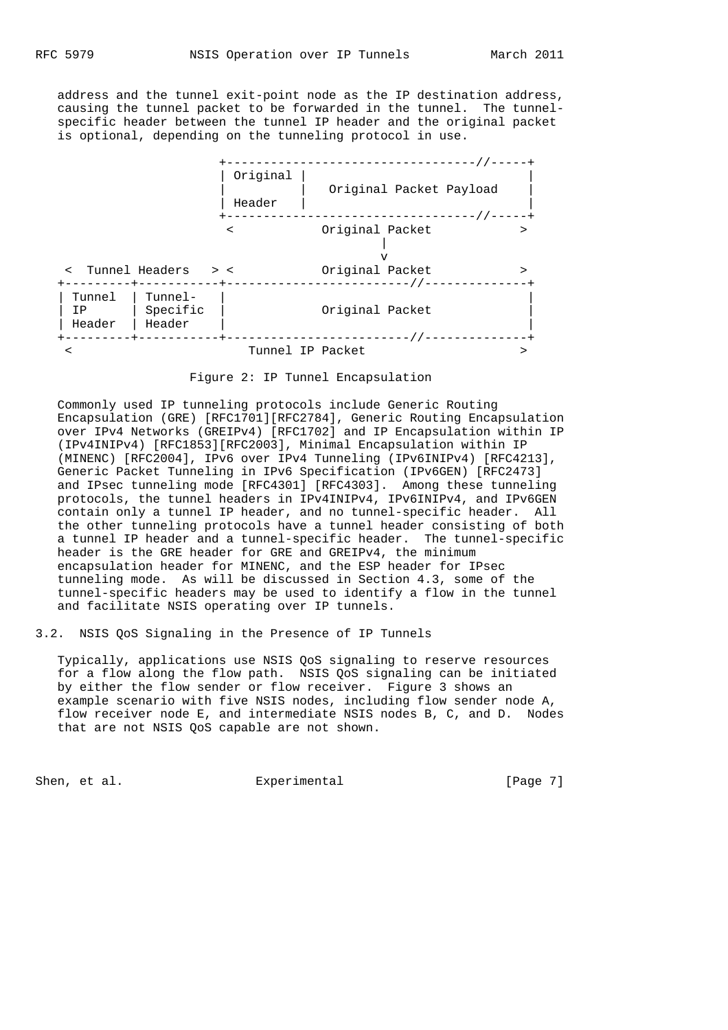address and the tunnel exit-point node as the IP destination address, causing the tunnel packet to be forwarded in the tunnel. The tunnel specific header between the tunnel IP header and the original packet is optional, depending on the tunneling protocol in use.



Figure 2: IP Tunnel Encapsulation

 Commonly used IP tunneling protocols include Generic Routing Encapsulation (GRE) [RFC1701][RFC2784], Generic Routing Encapsulation over IPv4 Networks (GREIPv4) [RFC1702] and IP Encapsulation within IP (IPv4INIPv4) [RFC1853][RFC2003], Minimal Encapsulation within IP (MINENC) [RFC2004], IPv6 over IPv4 Tunneling (IPv6INIPv4) [RFC4213], Generic Packet Tunneling in IPv6 Specification (IPv6GEN) [RFC2473] and IPsec tunneling mode [RFC4301] [RFC4303]. Among these tunneling protocols, the tunnel headers in IPv4INIPv4, IPv6INIPv4, and IPv6GEN contain only a tunnel IP header, and no tunnel-specific header. All the other tunneling protocols have a tunnel header consisting of both a tunnel IP header and a tunnel-specific header. The tunnel-specific header is the GRE header for GRE and GREIPv4, the minimum encapsulation header for MINENC, and the ESP header for IPsec tunneling mode. As will be discussed in Section 4.3, some of the tunnel-specific headers may be used to identify a flow in the tunnel and facilitate NSIS operating over IP tunnels.

3.2. NSIS QoS Signaling in the Presence of IP Tunnels

 Typically, applications use NSIS QoS signaling to reserve resources for a flow along the flow path. NSIS QoS signaling can be initiated by either the flow sender or flow receiver. Figure 3 shows an example scenario with five NSIS nodes, including flow sender node A, flow receiver node E, and intermediate NSIS nodes B, C, and D. Nodes that are not NSIS QoS capable are not shown.

Shen, et al. Experimental [Page 7]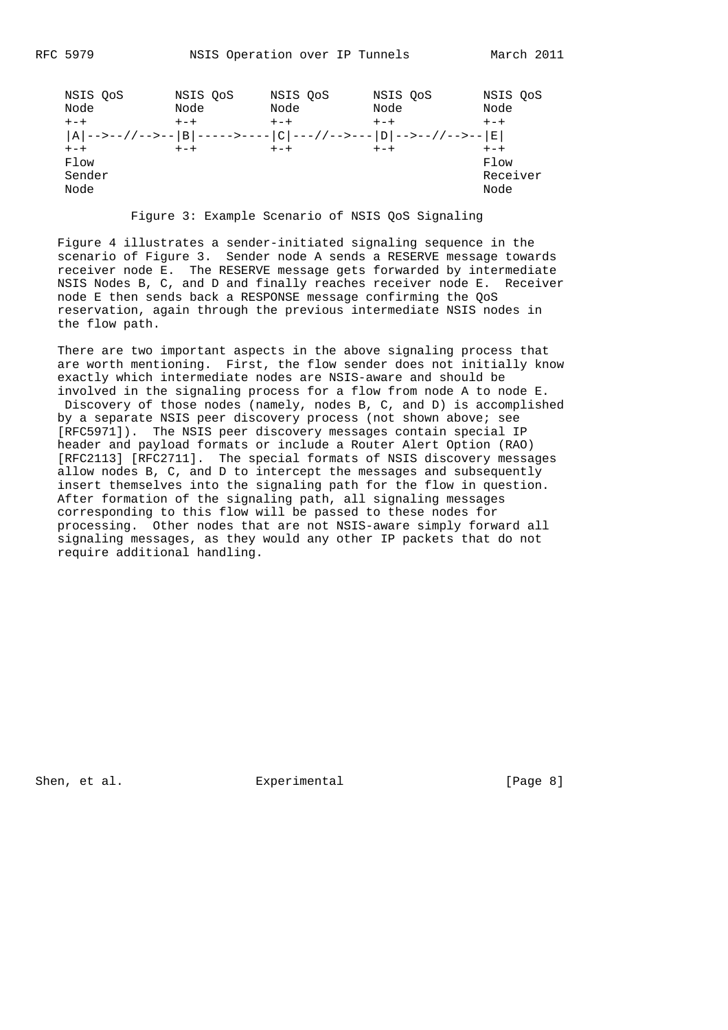| NSIS OoS<br>Node | NSIS OoS<br>Node | NSIS OoS<br>Node | NSIS OoS<br>Node                                                                                                                                                                                                                                                                                                          | NSIS OoS<br>Node |
|------------------|------------------|------------------|---------------------------------------------------------------------------------------------------------------------------------------------------------------------------------------------------------------------------------------------------------------------------------------------------------------------------|------------------|
|                  |                  |                  |                                                                                                                                                                                                                                                                                                                           |                  |
| $+-+$            | $+-+$            | $+-+$            | $+-+$                                                                                                                                                                                                                                                                                                                     | $+-+$            |
|                  |                  |                  | $ R \mid \!\! - \!\! > \!\! - \!\! > \!\! - \!\! / \!\! / \!\! - \!\! > \!\! - \!\! - \!\!  B \mid \!\! - \!\! - \!\! - \!\! > \!\! - \!\! - \!\! - \!\!  C \mid \!\! - \!\! - \!\! / \!\! / \!\! - \!\! > \!\! - \!\! - \!\!  D \mid \!\! - \!\! > \!\! - \!\! > \!\! / \!\! / \!\! - \!\! > \!\! - \!\! > \!\!  E \mid$ |                  |
| $+-+$            | $+-+$            | $+-+$            | $+-+$                                                                                                                                                                                                                                                                                                                     | $+-+$            |
| Flow             |                  |                  |                                                                                                                                                                                                                                                                                                                           | Flow             |
| Sender           |                  |                  |                                                                                                                                                                                                                                                                                                                           | Receiver         |
| Node             |                  |                  |                                                                                                                                                                                                                                                                                                                           | Node             |
|                  |                  |                  |                                                                                                                                                                                                                                                                                                                           |                  |

Figure 3: Example Scenario of NSIS QoS Signaling

 Figure 4 illustrates a sender-initiated signaling sequence in the scenario of Figure 3. Sender node A sends a RESERVE message towards receiver node E. The RESERVE message gets forwarded by intermediate NSIS Nodes B, C, and D and finally reaches receiver node E. Receiver node E then sends back a RESPONSE message confirming the QoS reservation, again through the previous intermediate NSIS nodes in the flow path.

 There are two important aspects in the above signaling process that are worth mentioning. First, the flow sender does not initially know exactly which intermediate nodes are NSIS-aware and should be involved in the signaling process for a flow from node A to node E. Discovery of those nodes (namely, nodes B, C, and D) is accomplished by a separate NSIS peer discovery process (not shown above; see [RFC5971]). The NSIS peer discovery messages contain special IP header and payload formats or include a Router Alert Option (RAO) [RFC2113] [RFC2711]. The special formats of NSIS discovery messages allow nodes B, C, and D to intercept the messages and subsequently insert themselves into the signaling path for the flow in question. After formation of the signaling path, all signaling messages corresponding to this flow will be passed to these nodes for processing. Other nodes that are not NSIS-aware simply forward all signaling messages, as they would any other IP packets that do not require additional handling.

Shen, et al. Experimental [Page 8]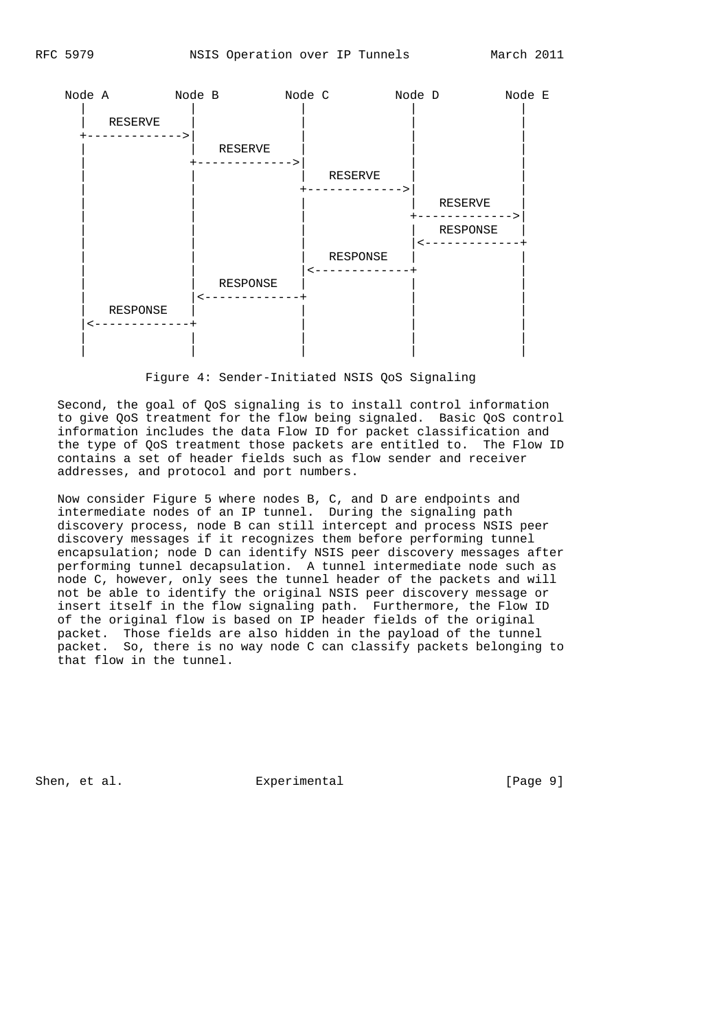

Figure 4: Sender-Initiated NSIS QoS Signaling

 Second, the goal of QoS signaling is to install control information to give QoS treatment for the flow being signaled. Basic QoS control information includes the data Flow ID for packet classification and the type of QoS treatment those packets are entitled to. The Flow ID contains a set of header fields such as flow sender and receiver addresses, and protocol and port numbers.

 Now consider Figure 5 where nodes B, C, and D are endpoints and intermediate nodes of an IP tunnel. During the signaling path discovery process, node B can still intercept and process NSIS peer discovery messages if it recognizes them before performing tunnel encapsulation; node D can identify NSIS peer discovery messages after performing tunnel decapsulation. A tunnel intermediate node such as node C, however, only sees the tunnel header of the packets and will not be able to identify the original NSIS peer discovery message or insert itself in the flow signaling path. Furthermore, the Flow ID of the original flow is based on IP header fields of the original packet. Those fields are also hidden in the payload of the tunnel packet. So, there is no way node C can classify packets belonging to that flow in the tunnel.

Shen, et al. Experimental [Page 9]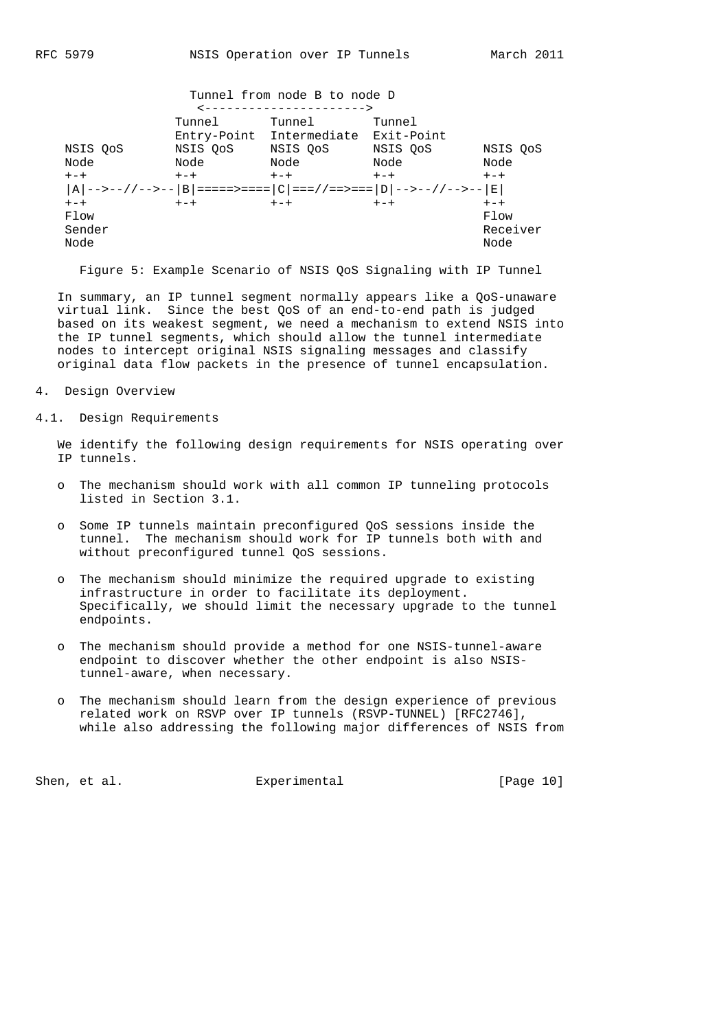|          |                | Tunnel from node B to node D        |         |          |
|----------|----------------|-------------------------------------|---------|----------|
|          |                | -------------------)                |         |          |
|          | Tunnel         | Tunnel                              | Tunnel  |          |
|          |                | Entry-Point Intermediate Exit-Point |         |          |
| NSIS OoS |                | NSIS OoS MSIS OoS NSIS OoS          |         | NSIS OoS |
| Node     | Node           | Node                                | Node    | Node     |
| $+-+$    |                | $+-+$ $+-+$ $+-+$                   |         | $+-+$    |
|          |                |                                     |         |          |
| $+-+$    | $+-+$<br>$+-+$ |                                     | $+ - +$ | $+-+$    |
| Flow     |                |                                     |         | Flow     |
| Sender   |                |                                     |         | Receiver |
| Node     |                |                                     |         | Node     |
|          |                |                                     |         |          |

Figure 5: Example Scenario of NSIS QoS Signaling with IP Tunnel

 In summary, an IP tunnel segment normally appears like a QoS-unaware virtual link. Since the best QoS of an end-to-end path is judged based on its weakest segment, we need a mechanism to extend NSIS into the IP tunnel segments, which should allow the tunnel intermediate nodes to intercept original NSIS signaling messages and classify original data flow packets in the presence of tunnel encapsulation.

- 4. Design Overview
- 4.1. Design Requirements

 We identify the following design requirements for NSIS operating over IP tunnels.

- o The mechanism should work with all common IP tunneling protocols listed in Section 3.1.
- o Some IP tunnels maintain preconfigured QoS sessions inside the tunnel. The mechanism should work for IP tunnels both with and without preconfigured tunnel QoS sessions.
- o The mechanism should minimize the required upgrade to existing infrastructure in order to facilitate its deployment. Specifically, we should limit the necessary upgrade to the tunnel endpoints.
- o The mechanism should provide a method for one NSIS-tunnel-aware endpoint to discover whether the other endpoint is also NSIS tunnel-aware, when necessary.
- o The mechanism should learn from the design experience of previous related work on RSVP over IP tunnels (RSVP-TUNNEL) [RFC2746], while also addressing the following major differences of NSIS from

Shen, et al. Experimental [Page 10]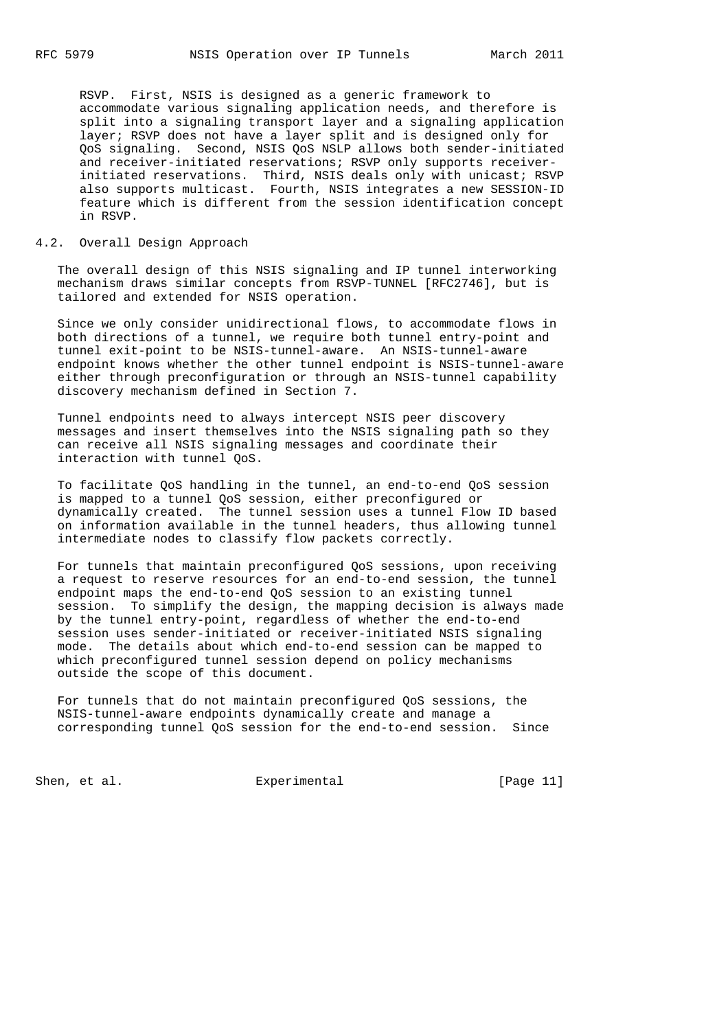RSVP. First, NSIS is designed as a generic framework to accommodate various signaling application needs, and therefore is split into a signaling transport layer and a signaling application layer; RSVP does not have a layer split and is designed only for QoS signaling. Second, NSIS QoS NSLP allows both sender-initiated and receiver-initiated reservations; RSVP only supports receiver initiated reservations. Third, NSIS deals only with unicast; RSVP also supports multicast. Fourth, NSIS integrates a new SESSION-ID feature which is different from the session identification concept in RSVP.

### 4.2. Overall Design Approach

 The overall design of this NSIS signaling and IP tunnel interworking mechanism draws similar concepts from RSVP-TUNNEL [RFC2746], but is tailored and extended for NSIS operation.

 Since we only consider unidirectional flows, to accommodate flows in both directions of a tunnel, we require both tunnel entry-point and tunnel exit-point to be NSIS-tunnel-aware. An NSIS-tunnel-aware endpoint knows whether the other tunnel endpoint is NSIS-tunnel-aware either through preconfiguration or through an NSIS-tunnel capability discovery mechanism defined in Section 7.

 Tunnel endpoints need to always intercept NSIS peer discovery messages and insert themselves into the NSIS signaling path so they can receive all NSIS signaling messages and coordinate their interaction with tunnel QoS.

 To facilitate QoS handling in the tunnel, an end-to-end QoS session is mapped to a tunnel QoS session, either preconfigured or dynamically created. The tunnel session uses a tunnel Flow ID based on information available in the tunnel headers, thus allowing tunnel intermediate nodes to classify flow packets correctly.

 For tunnels that maintain preconfigured QoS sessions, upon receiving a request to reserve resources for an end-to-end session, the tunnel endpoint maps the end-to-end QoS session to an existing tunnel session. To simplify the design, the mapping decision is always made by the tunnel entry-point, regardless of whether the end-to-end session uses sender-initiated or receiver-initiated NSIS signaling mode. The details about which end-to-end session can be mapped to which preconfigured tunnel session depend on policy mechanisms outside the scope of this document.

 For tunnels that do not maintain preconfigured QoS sessions, the NSIS-tunnel-aware endpoints dynamically create and manage a corresponding tunnel QoS session for the end-to-end session. Since

Shen, et al. Experimental [Page 11]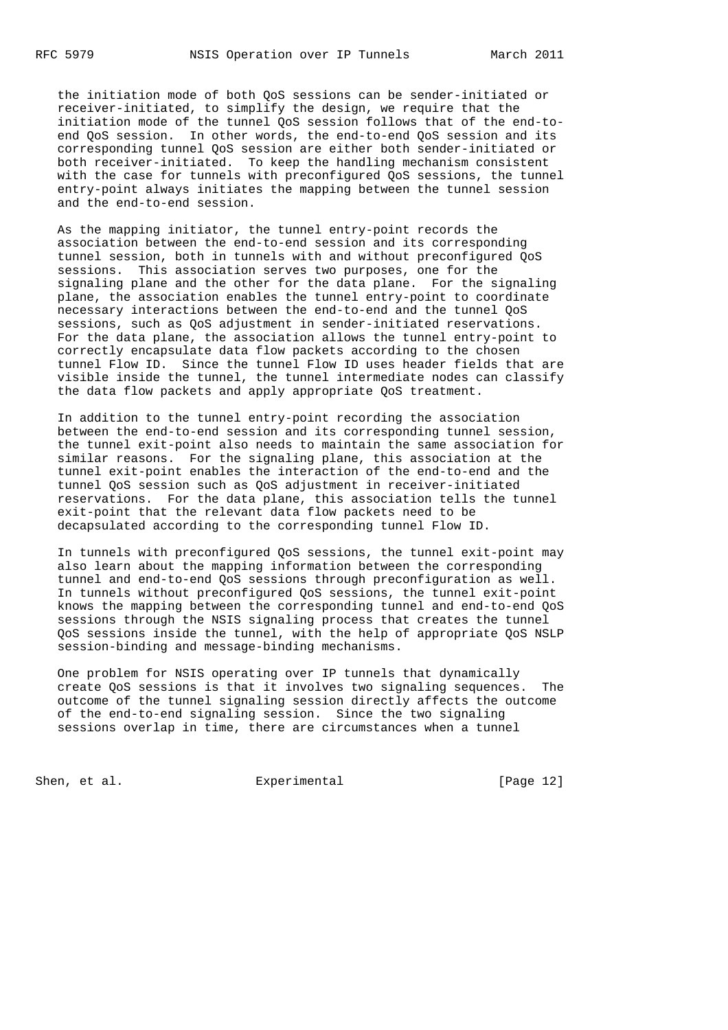the initiation mode of both QoS sessions can be sender-initiated or receiver-initiated, to simplify the design, we require that the initiation mode of the tunnel QoS session follows that of the end-to end QoS session. In other words, the end-to-end QoS session and its corresponding tunnel QoS session are either both sender-initiated or both receiver-initiated. To keep the handling mechanism consistent with the case for tunnels with preconfigured QoS sessions, the tunnel entry-point always initiates the mapping between the tunnel session and the end-to-end session.

 As the mapping initiator, the tunnel entry-point records the association between the end-to-end session and its corresponding tunnel session, both in tunnels with and without preconfigured QoS sessions. This association serves two purposes, one for the signaling plane and the other for the data plane. For the signaling plane, the association enables the tunnel entry-point to coordinate necessary interactions between the end-to-end and the tunnel QoS sessions, such as QoS adjustment in sender-initiated reservations. For the data plane, the association allows the tunnel entry-point to correctly encapsulate data flow packets according to the chosen tunnel Flow ID. Since the tunnel Flow ID uses header fields that are visible inside the tunnel, the tunnel intermediate nodes can classify the data flow packets and apply appropriate QoS treatment.

 In addition to the tunnel entry-point recording the association between the end-to-end session and its corresponding tunnel session, the tunnel exit-point also needs to maintain the same association for similar reasons. For the signaling plane, this association at the tunnel exit-point enables the interaction of the end-to-end and the tunnel QoS session such as QoS adjustment in receiver-initiated reservations. For the data plane, this association tells the tunnel exit-point that the relevant data flow packets need to be decapsulated according to the corresponding tunnel Flow ID.

 In tunnels with preconfigured QoS sessions, the tunnel exit-point may also learn about the mapping information between the corresponding tunnel and end-to-end QoS sessions through preconfiguration as well. In tunnels without preconfigured QoS sessions, the tunnel exit-point knows the mapping between the corresponding tunnel and end-to-end QoS sessions through the NSIS signaling process that creates the tunnel QoS sessions inside the tunnel, with the help of appropriate QoS NSLP session-binding and message-binding mechanisms.

 One problem for NSIS operating over IP tunnels that dynamically create QoS sessions is that it involves two signaling sequences. The outcome of the tunnel signaling session directly affects the outcome of the end-to-end signaling session. Since the two signaling sessions overlap in time, there are circumstances when a tunnel

Shen, et al. Experimental [Page 12]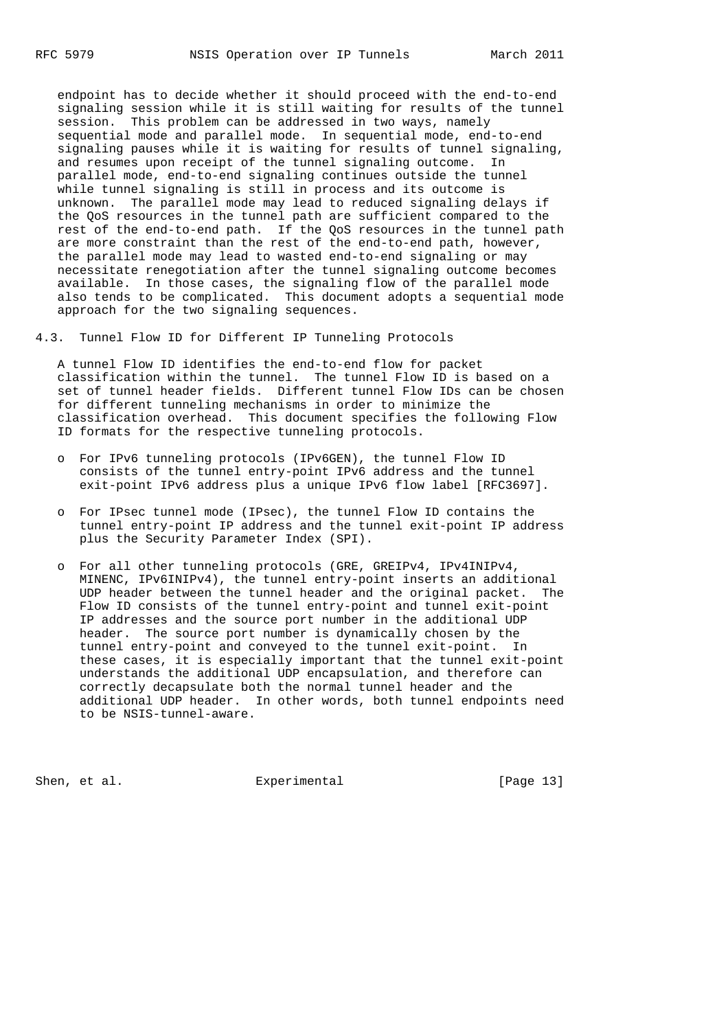endpoint has to decide whether it should proceed with the end-to-end signaling session while it is still waiting for results of the tunnel session. This problem can be addressed in two ways, namely sequential mode and parallel mode. In sequential mode, end-to-end signaling pauses while it is waiting for results of tunnel signaling, and resumes upon receipt of the tunnel signaling outcome. In parallel mode, end-to-end signaling continues outside the tunnel while tunnel signaling is still in process and its outcome is unknown. The parallel mode may lead to reduced signaling delays if the QoS resources in the tunnel path are sufficient compared to the rest of the end-to-end path. If the QoS resources in the tunnel path are more constraint than the rest of the end-to-end path, however, the parallel mode may lead to wasted end-to-end signaling or may necessitate renegotiation after the tunnel signaling outcome becomes available. In those cases, the signaling flow of the parallel mode also tends to be complicated. This document adopts a sequential mode approach for the two signaling sequences.

4.3. Tunnel Flow ID for Different IP Tunneling Protocols

 A tunnel Flow ID identifies the end-to-end flow for packet classification within the tunnel. The tunnel Flow ID is based on a set of tunnel header fields. Different tunnel Flow IDs can be chosen for different tunneling mechanisms in order to minimize the classification overhead. This document specifies the following Flow ID formats for the respective tunneling protocols.

- o For IPv6 tunneling protocols (IPv6GEN), the tunnel Flow ID consists of the tunnel entry-point IPv6 address and the tunnel exit-point IPv6 address plus a unique IPv6 flow label [RFC3697].
- o For IPsec tunnel mode (IPsec), the tunnel Flow ID contains the tunnel entry-point IP address and the tunnel exit-point IP address plus the Security Parameter Index (SPI).
- o For all other tunneling protocols (GRE, GREIPv4, IPv4INIPv4, MINENC, IPv6INIPv4), the tunnel entry-point inserts an additional UDP header between the tunnel header and the original packet. The Flow ID consists of the tunnel entry-point and tunnel exit-point IP addresses and the source port number in the additional UDP header. The source port number is dynamically chosen by the tunnel entry-point and conveyed to the tunnel exit-point. In these cases, it is especially important that the tunnel exit-point understands the additional UDP encapsulation, and therefore can correctly decapsulate both the normal tunnel header and the additional UDP header. In other words, both tunnel endpoints need to be NSIS-tunnel-aware.

Shen, et al. Shen, et al. Experimental [Page 13]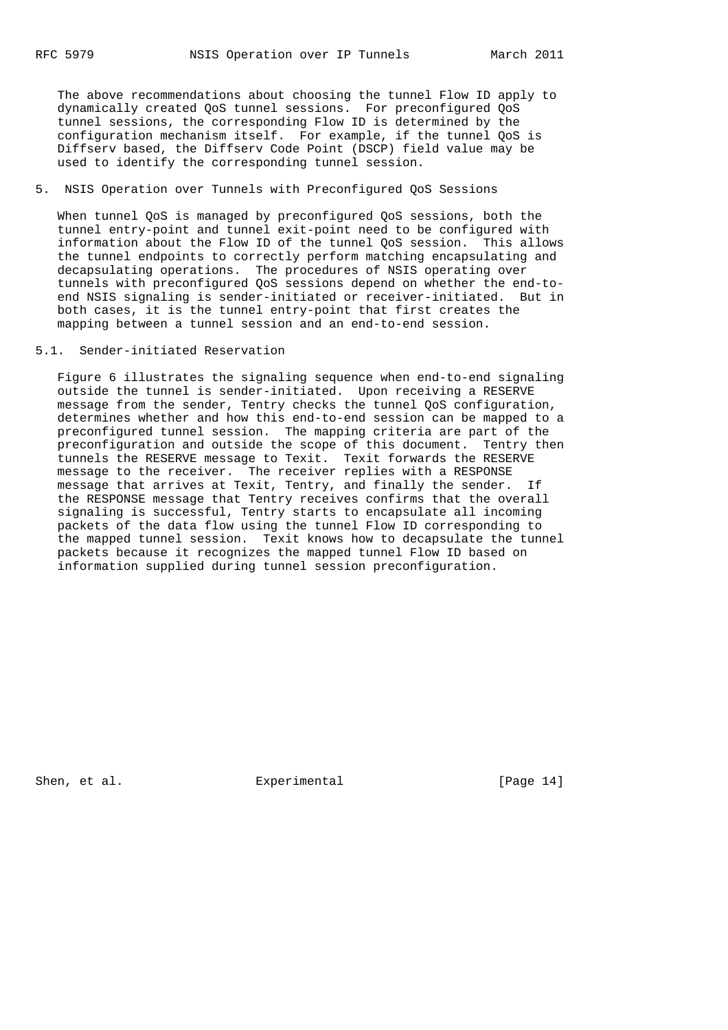The above recommendations about choosing the tunnel Flow ID apply to dynamically created QoS tunnel sessions. For preconfigured QoS tunnel sessions, the corresponding Flow ID is determined by the configuration mechanism itself. For example, if the tunnel QoS is Diffserv based, the Diffserv Code Point (DSCP) field value may be used to identify the corresponding tunnel session.

# 5. NSIS Operation over Tunnels with Preconfigured QoS Sessions

 When tunnel QoS is managed by preconfigured QoS sessions, both the tunnel entry-point and tunnel exit-point need to be configured with information about the Flow ID of the tunnel QoS session. This allows the tunnel endpoints to correctly perform matching encapsulating and decapsulating operations. The procedures of NSIS operating over tunnels with preconfigured QoS sessions depend on whether the end-to end NSIS signaling is sender-initiated or receiver-initiated. But in both cases, it is the tunnel entry-point that first creates the mapping between a tunnel session and an end-to-end session.

# 5.1. Sender-initiated Reservation

 Figure 6 illustrates the signaling sequence when end-to-end signaling outside the tunnel is sender-initiated. Upon receiving a RESERVE message from the sender, Tentry checks the tunnel QoS configuration, determines whether and how this end-to-end session can be mapped to a preconfigured tunnel session. The mapping criteria are part of the preconfiguration and outside the scope of this document. Tentry then tunnels the RESERVE message to Texit. Texit forwards the RESERVE message to the receiver. The receiver replies with a RESPONSE message that arrives at Texit, Tentry, and finally the sender. If the RESPONSE message that Tentry receives confirms that the overall signaling is successful, Tentry starts to encapsulate all incoming packets of the data flow using the tunnel Flow ID corresponding to the mapped tunnel session. Texit knows how to decapsulate the tunnel packets because it recognizes the mapped tunnel Flow ID based on information supplied during tunnel session preconfiguration.

Shen, et al. Experimental [Page 14]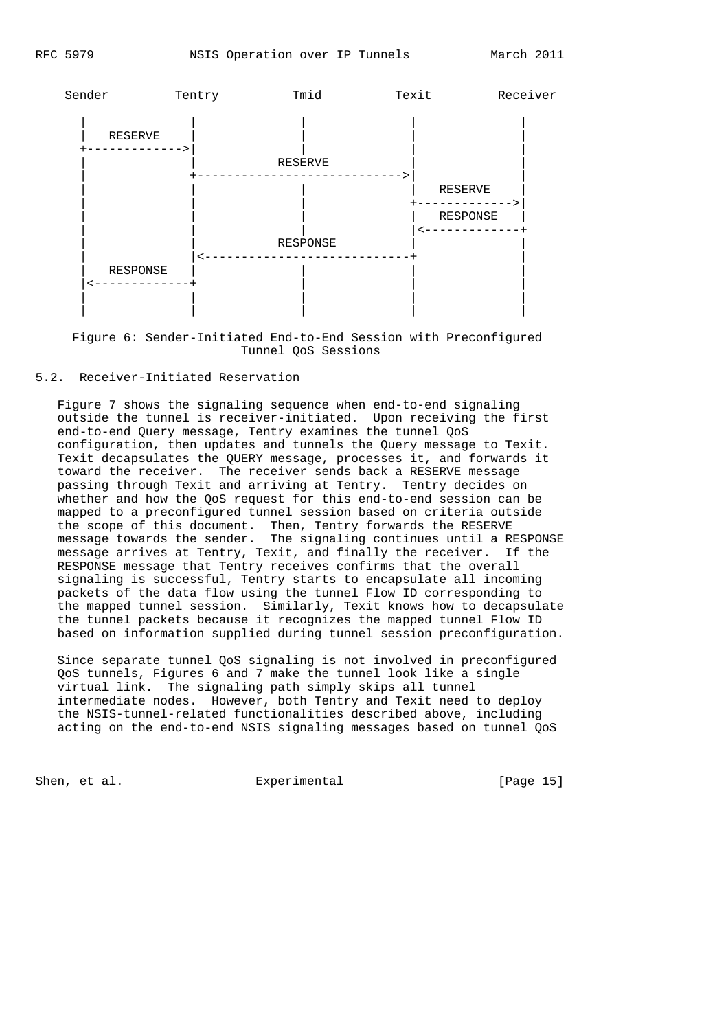

 Figure 6: Sender-Initiated End-to-End Session with Preconfigured Tunnel QoS Sessions

# 5.2. Receiver-Initiated Reservation

 Figure 7 shows the signaling sequence when end-to-end signaling outside the tunnel is receiver-initiated. Upon receiving the first end-to-end Query message, Tentry examines the tunnel QoS configuration, then updates and tunnels the Query message to Texit. Texit decapsulates the QUERY message, processes it, and forwards it toward the receiver. The receiver sends back a RESERVE message passing through Texit and arriving at Tentry. Tentry decides on whether and how the QoS request for this end-to-end session can be mapped to a preconfigured tunnel session based on criteria outside the scope of this document. Then, Tentry forwards the RESERVE message towards the sender. The signaling continues until a RESPONSE message arrives at Tentry, Texit, and finally the receiver. If the RESPONSE message that Tentry receives confirms that the overall signaling is successful, Tentry starts to encapsulate all incoming packets of the data flow using the tunnel Flow ID corresponding to the mapped tunnel session. Similarly, Texit knows how to decapsulate the tunnel packets because it recognizes the mapped tunnel Flow ID based on information supplied during tunnel session preconfiguration.

 Since separate tunnel QoS signaling is not involved in preconfigured QoS tunnels, Figures 6 and 7 make the tunnel look like a single virtual link. The signaling path simply skips all tunnel intermediate nodes. However, both Tentry and Texit need to deploy the NSIS-tunnel-related functionalities described above, including acting on the end-to-end NSIS signaling messages based on tunnel QoS

Shen, et al. Experimental [Page 15]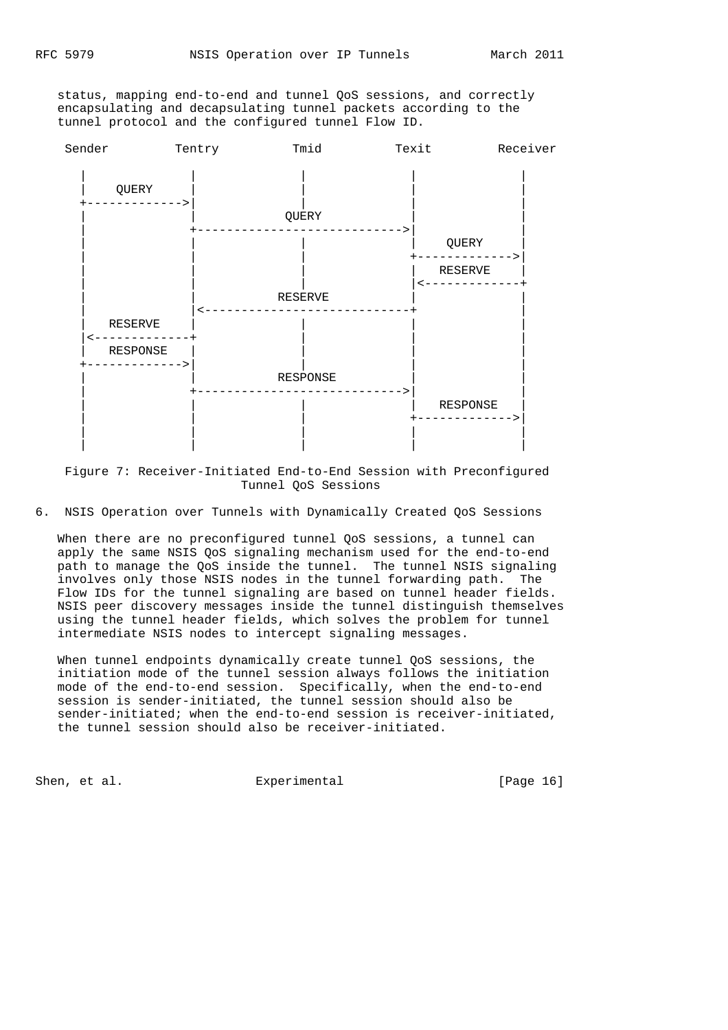status, mapping end-to-end and tunnel QoS sessions, and correctly encapsulating and decapsulating tunnel packets according to the tunnel protocol and the configured tunnel Flow ID.



 Figure 7: Receiver-Initiated End-to-End Session with Preconfigured Tunnel QoS Sessions

6. NSIS Operation over Tunnels with Dynamically Created QoS Sessions

 When there are no preconfigured tunnel QoS sessions, a tunnel can apply the same NSIS QoS signaling mechanism used for the end-to-end path to manage the QoS inside the tunnel. The tunnel NSIS signaling involves only those NSIS nodes in the tunnel forwarding path. The Flow IDs for the tunnel signaling are based on tunnel header fields. NSIS peer discovery messages inside the tunnel distinguish themselves using the tunnel header fields, which solves the problem for tunnel intermediate NSIS nodes to intercept signaling messages.

 When tunnel endpoints dynamically create tunnel QoS sessions, the initiation mode of the tunnel session always follows the initiation mode of the end-to-end session. Specifically, when the end-to-end session is sender-initiated, the tunnel session should also be sender-initiated; when the end-to-end session is receiver-initiated, the tunnel session should also be receiver-initiated.

Shen, et al. Experimental Experimental [Page 16]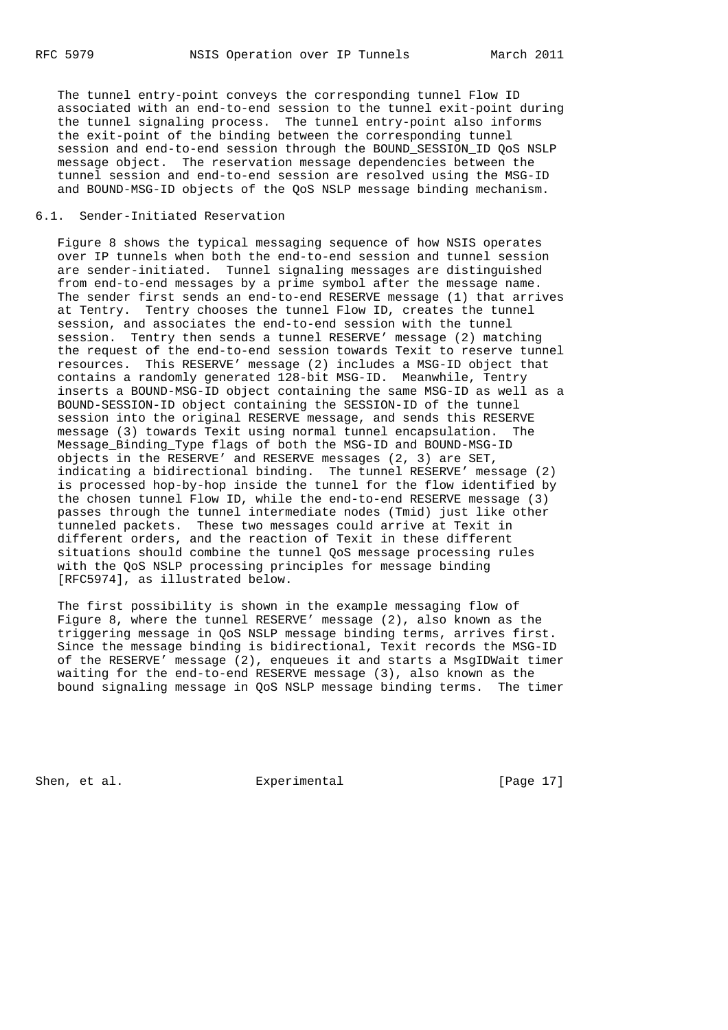The tunnel entry-point conveys the corresponding tunnel Flow ID associated with an end-to-end session to the tunnel exit-point during the tunnel signaling process. The tunnel entry-point also informs the exit-point of the binding between the corresponding tunnel session and end-to-end session through the BOUND\_SESSION\_ID QoS NSLP message object. The reservation message dependencies between the tunnel session and end-to-end session are resolved using the MSG-ID and BOUND-MSG-ID objects of the QoS NSLP message binding mechanism.

# 6.1. Sender-Initiated Reservation

 Figure 8 shows the typical messaging sequence of how NSIS operates over IP tunnels when both the end-to-end session and tunnel session are sender-initiated. Tunnel signaling messages are distinguished from end-to-end messages by a prime symbol after the message name. The sender first sends an end-to-end RESERVE message (1) that arrives at Tentry. Tentry chooses the tunnel Flow ID, creates the tunnel session, and associates the end-to-end session with the tunnel session. Tentry then sends a tunnel RESERVE' message (2) matching the request of the end-to-end session towards Texit to reserve tunnel resources. This RESERVE' message (2) includes a MSG-ID object that contains a randomly generated 128-bit MSG-ID. Meanwhile, Tentry inserts a BOUND-MSG-ID object containing the same MSG-ID as well as a BOUND-SESSION-ID object containing the SESSION-ID of the tunnel session into the original RESERVE message, and sends this RESERVE message (3) towards Texit using normal tunnel encapsulation. The Message\_Binding\_Type flags of both the MSG-ID and BOUND-MSG-ID objects in the RESERVE' and RESERVE messages (2, 3) are SET, indicating a bidirectional binding. The tunnel RESERVE' message (2) is processed hop-by-hop inside the tunnel for the flow identified by the chosen tunnel Flow ID, while the end-to-end RESERVE message (3) passes through the tunnel intermediate nodes (Tmid) just like other tunneled packets. These two messages could arrive at Texit in different orders, and the reaction of Texit in these different situations should combine the tunnel QoS message processing rules with the QoS NSLP processing principles for message binding [RFC5974], as illustrated below.

 The first possibility is shown in the example messaging flow of Figure 8, where the tunnel RESERVE' message (2), also known as the triggering message in QoS NSLP message binding terms, arrives first. Since the message binding is bidirectional, Texit records the MSG-ID of the RESERVE' message (2), enqueues it and starts a MsgIDWait timer waiting for the end-to-end RESERVE message (3), also known as the bound signaling message in QoS NSLP message binding terms. The timer

Shen, et al. Experimental [Page 17]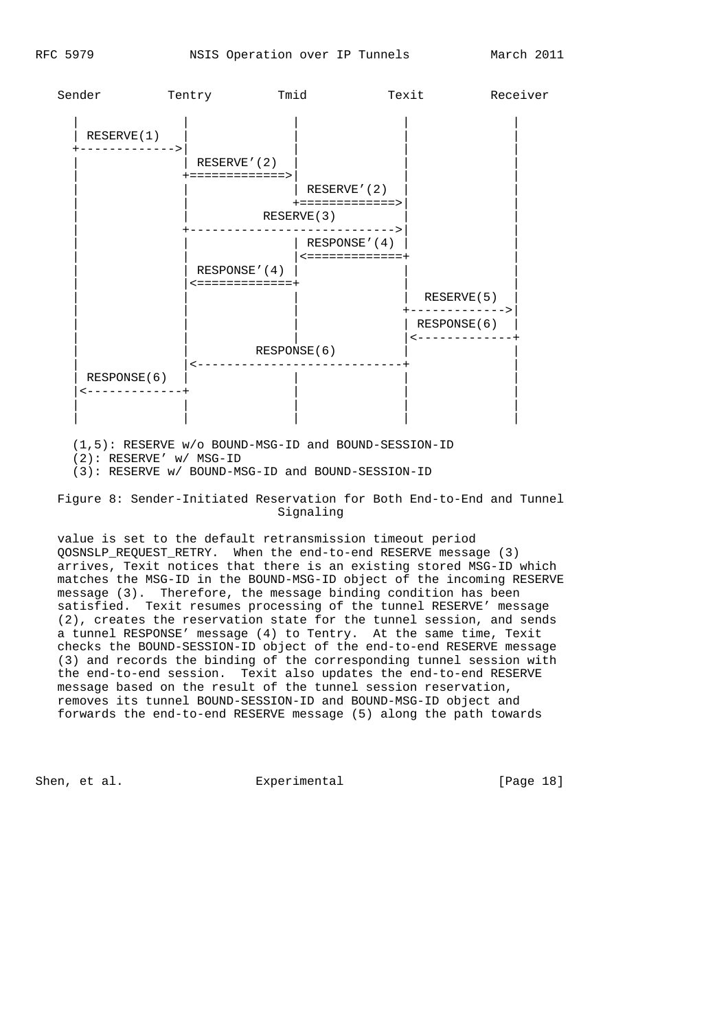

 (1,5): RESERVE w/o BOUND-MSG-ID and BOUND-SESSION-ID (2): RESERVE' w/ MSG-ID (3): RESERVE w/ BOUND-MSG-ID and BOUND-SESSION-ID

 Figure 8: Sender-Initiated Reservation for Both End-to-End and Tunnel Signaling

 value is set to the default retransmission timeout period QOSNSLP\_REQUEST\_RETRY. When the end-to-end RESERVE message (3) arrives, Texit notices that there is an existing stored MSG-ID which matches the MSG-ID in the BOUND-MSG-ID object of the incoming RESERVE message (3). Therefore, the message binding condition has been satisfied. Texit resumes processing of the tunnel RESERVE' message (2), creates the reservation state for the tunnel session, and sends a tunnel RESPONSE' message (4) to Tentry. At the same time, Texit checks the BOUND-SESSION-ID object of the end-to-end RESERVE message (3) and records the binding of the corresponding tunnel session with the end-to-end session. Texit also updates the end-to-end RESERVE message based on the result of the tunnel session reservation, removes its tunnel BOUND-SESSION-ID and BOUND-MSG-ID object and forwards the end-to-end RESERVE message (5) along the path towards

Shen, et al. Experimental Experimental [Page 18]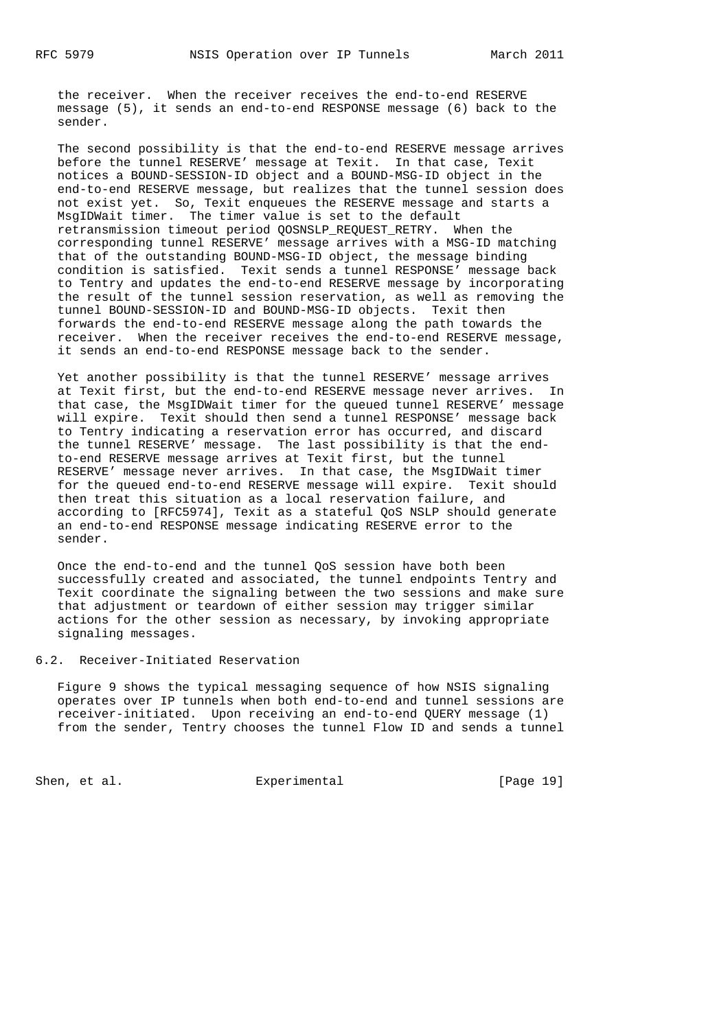the receiver. When the receiver receives the end-to-end RESERVE message (5), it sends an end-to-end RESPONSE message (6) back to the sender.

 The second possibility is that the end-to-end RESERVE message arrives before the tunnel RESERVE' message at Texit. In that case, Texit notices a BOUND-SESSION-ID object and a BOUND-MSG-ID object in the end-to-end RESERVE message, but realizes that the tunnel session does not exist yet. So, Texit enqueues the RESERVE message and starts a MsgIDWait timer. The timer value is set to the default retransmission timeout period QOSNSLP\_REQUEST\_RETRY. When the corresponding tunnel RESERVE' message arrives with a MSG-ID matching that of the outstanding BOUND-MSG-ID object, the message binding condition is satisfied. Texit sends a tunnel RESPONSE' message back to Tentry and updates the end-to-end RESERVE message by incorporating the result of the tunnel session reservation, as well as removing the tunnel BOUND-SESSION-ID and BOUND-MSG-ID objects. Texit then forwards the end-to-end RESERVE message along the path towards the receiver. When the receiver receives the end-to-end RESERVE message, it sends an end-to-end RESPONSE message back to the sender.

 Yet another possibility is that the tunnel RESERVE' message arrives at Texit first, but the end-to-end RESERVE message never arrives. In that case, the MsgIDWait timer for the queued tunnel RESERVE' message will expire. Texit should then send a tunnel RESPONSE' message back to Tentry indicating a reservation error has occurred, and discard the tunnel RESERVE' message. The last possibility is that the end to-end RESERVE message arrives at Texit first, but the tunnel RESERVE' message never arrives. In that case, the MsgIDWait timer for the queued end-to-end RESERVE message will expire. Texit should then treat this situation as a local reservation failure, and according to [RFC5974], Texit as a stateful QoS NSLP should generate an end-to-end RESPONSE message indicating RESERVE error to the sender.

 Once the end-to-end and the tunnel QoS session have both been successfully created and associated, the tunnel endpoints Tentry and Texit coordinate the signaling between the two sessions and make sure that adjustment or teardown of either session may trigger similar actions for the other session as necessary, by invoking appropriate signaling messages.

## 6.2. Receiver-Initiated Reservation

 Figure 9 shows the typical messaging sequence of how NSIS signaling operates over IP tunnels when both end-to-end and tunnel sessions are receiver-initiated. Upon receiving an end-to-end QUERY message (1) from the sender, Tentry chooses the tunnel Flow ID and sends a tunnel

Shen, et al. Experimental [Page 19]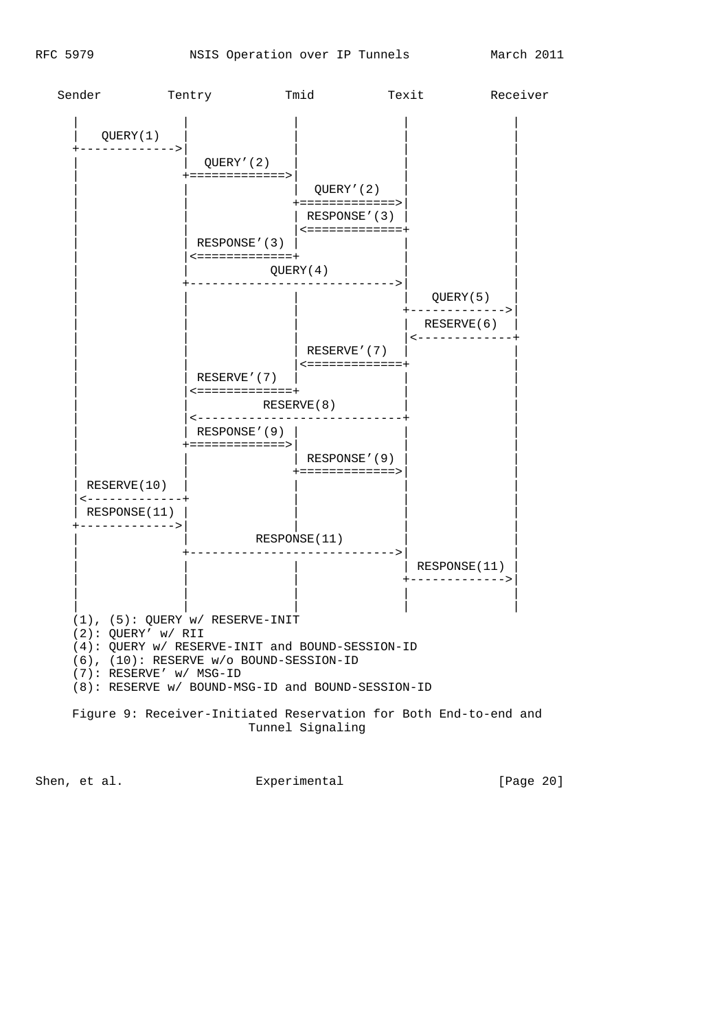

Shen, et al. Experimental Experimental [Page 20]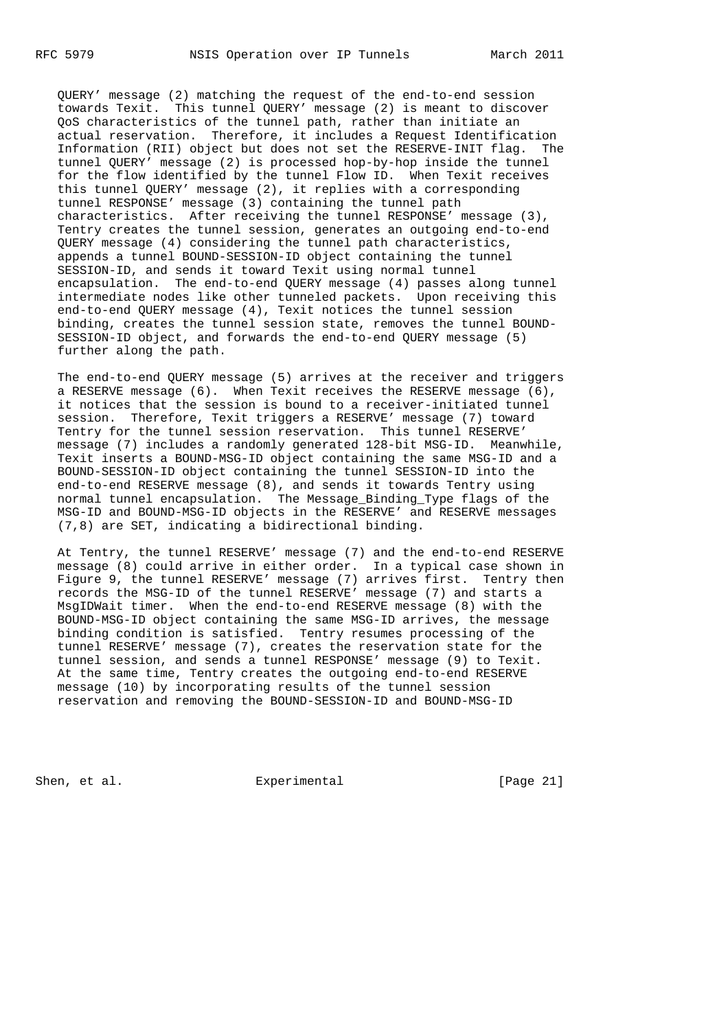QUERY' message (2) matching the request of the end-to-end session towards Texit. This tunnel QUERY' message (2) is meant to discover QoS characteristics of the tunnel path, rather than initiate an actual reservation. Therefore, it includes a Request Identification Information (RII) object but does not set the RESERVE-INIT flag. The tunnel QUERY' message (2) is processed hop-by-hop inside the tunnel for the flow identified by the tunnel Flow ID. When Texit receives this tunnel QUERY' message (2), it replies with a corresponding tunnel RESPONSE' message (3) containing the tunnel path characteristics. After receiving the tunnel RESPONSE' message (3), Tentry creates the tunnel session, generates an outgoing end-to-end QUERY message (4) considering the tunnel path characteristics, appends a tunnel BOUND-SESSION-ID object containing the tunnel SESSION-ID, and sends it toward Texit using normal tunnel encapsulation. The end-to-end QUERY message (4) passes along tunnel intermediate nodes like other tunneled packets. Upon receiving this end-to-end QUERY message (4), Texit notices the tunnel session binding, creates the tunnel session state, removes the tunnel BOUND- SESSION-ID object, and forwards the end-to-end QUERY message (5) further along the path.

 The end-to-end QUERY message (5) arrives at the receiver and triggers a RESERVE message (6). When Texit receives the RESERVE message (6), it notices that the session is bound to a receiver-initiated tunnel session. Therefore, Texit triggers a RESERVE' message (7) toward Tentry for the tunnel session reservation. This tunnel RESERVE' message (7) includes a randomly generated 128-bit MSG-ID. Meanwhile, Texit inserts a BOUND-MSG-ID object containing the same MSG-ID and a BOUND-SESSION-ID object containing the tunnel SESSION-ID into the end-to-end RESERVE message (8), and sends it towards Tentry using normal tunnel encapsulation. The Message\_Binding\_Type flags of the MSG-ID and BOUND-MSG-ID objects in the RESERVE' and RESERVE messages (7,8) are SET, indicating a bidirectional binding.

 At Tentry, the tunnel RESERVE' message (7) and the end-to-end RESERVE message (8) could arrive in either order. In a typical case shown in Figure 9, the tunnel RESERVE' message (7) arrives first. Tentry then records the MSG-ID of the tunnel RESERVE' message (7) and starts a MsgIDWait timer. When the end-to-end RESERVE message (8) with the BOUND-MSG-ID object containing the same MSG-ID arrives, the message binding condition is satisfied. Tentry resumes processing of the tunnel RESERVE' message (7), creates the reservation state for the tunnel session, and sends a tunnel RESPONSE' message (9) to Texit. At the same time, Tentry creates the outgoing end-to-end RESERVE message (10) by incorporating results of the tunnel session reservation and removing the BOUND-SESSION-ID and BOUND-MSG-ID

Shen, et al. Experimental [Page 21]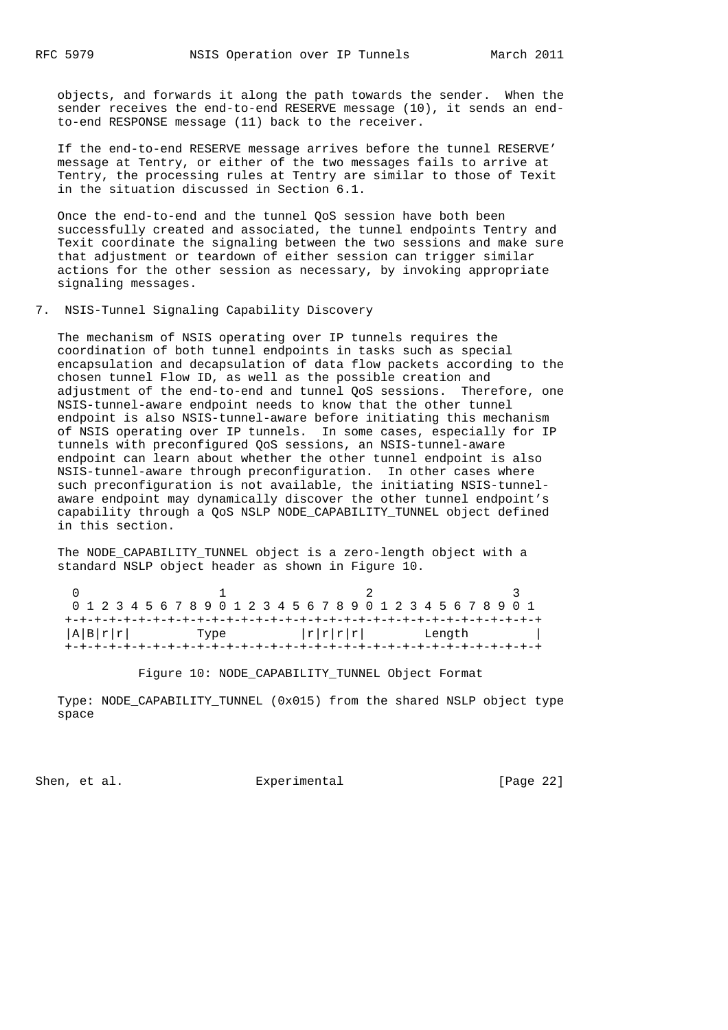objects, and forwards it along the path towards the sender. When the sender receives the end-to-end RESERVE message (10), it sends an end to-end RESPONSE message (11) back to the receiver.

 If the end-to-end RESERVE message arrives before the tunnel RESERVE' message at Tentry, or either of the two messages fails to arrive at Tentry, the processing rules at Tentry are similar to those of Texit in the situation discussed in Section 6.1.

 Once the end-to-end and the tunnel QoS session have both been successfully created and associated, the tunnel endpoints Tentry and Texit coordinate the signaling between the two sessions and make sure that adjustment or teardown of either session can trigger similar actions for the other session as necessary, by invoking appropriate signaling messages.

### 7. NSIS-Tunnel Signaling Capability Discovery

 The mechanism of NSIS operating over IP tunnels requires the coordination of both tunnel endpoints in tasks such as special encapsulation and decapsulation of data flow packets according to the chosen tunnel Flow ID, as well as the possible creation and adjustment of the end-to-end and tunnel QoS sessions. Therefore, one NSIS-tunnel-aware endpoint needs to know that the other tunnel endpoint is also NSIS-tunnel-aware before initiating this mechanism of NSIS operating over IP tunnels. In some cases, especially for IP tunnels with preconfigured QoS sessions, an NSIS-tunnel-aware endpoint can learn about whether the other tunnel endpoint is also NSIS-tunnel-aware through preconfiguration. In other cases where such preconfiguration is not available, the initiating NSIS-tunnel aware endpoint may dynamically discover the other tunnel endpoint's capability through a QoS NSLP NODE\_CAPABILITY\_TUNNEL object defined in this section.

The NODE CAPABILITY TUNNEL object is a zero-length object with a standard NSLP object header as shown in Figure 10.

|  |  |         |  |  |      |  |  |  | 0 1 2 3 4 5 6 7 8 9 0 1 2 3 4 5 6 7 8 9 0 1 2 3 4 5 6 7 8 9 0 1 |  |  |  |  |        |  |  |  |
|--|--|---------|--|--|------|--|--|--|-----------------------------------------------------------------|--|--|--|--|--------|--|--|--|
|  |  |         |  |  |      |  |  |  |                                                                 |  |  |  |  |        |  |  |  |
|  |  | A B r r |  |  | Type |  |  |  | r r r                                                           |  |  |  |  | Length |  |  |  |
|  |  |         |  |  |      |  |  |  |                                                                 |  |  |  |  |        |  |  |  |

Figure 10: NODE\_CAPABILITY\_TUNNEL Object Format

 Type: NODE\_CAPABILITY\_TUNNEL (0x015) from the shared NSLP object type space

Shen, et al. Experimental [Page 22]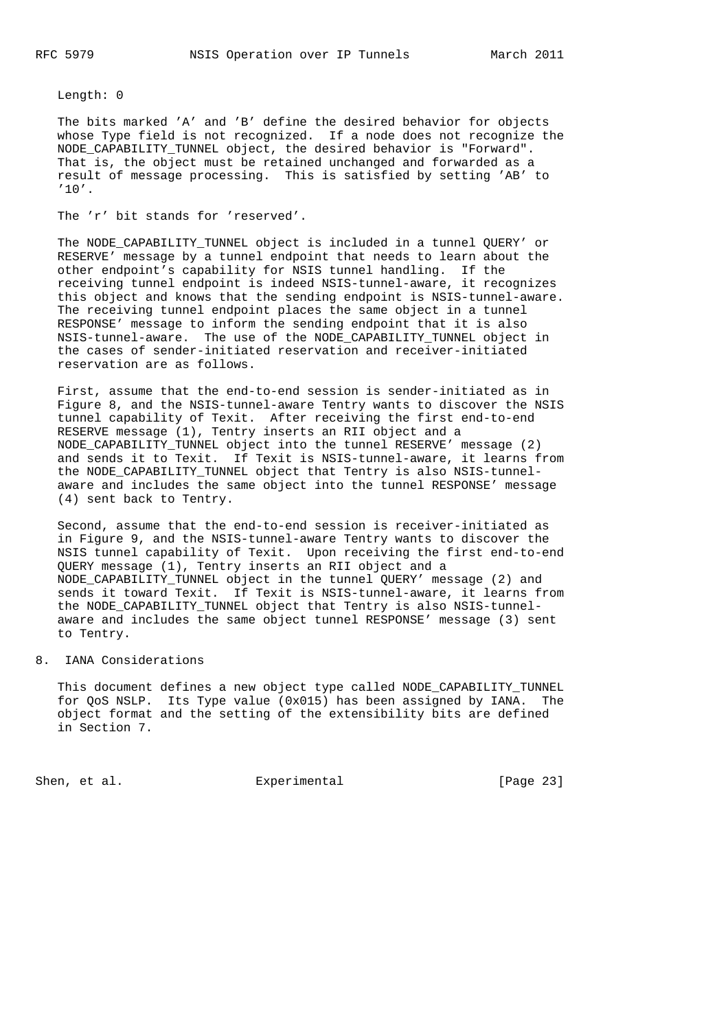Length: 0

 The bits marked 'A' and 'B' define the desired behavior for objects whose Type field is not recognized. If a node does not recognize the NODE\_CAPABILITY\_TUNNEL object, the desired behavior is "Forward". That is, the object must be retained unchanged and forwarded as a result of message processing. This is satisfied by setting 'AB' to '10'.

The 'r' bit stands for 'reserved'.

The NODE CAPABILITY TUNNEL object is included in a tunnel QUERY' or RESERVE' message by a tunnel endpoint that needs to learn about the other endpoint's capability for NSIS tunnel handling. If the receiving tunnel endpoint is indeed NSIS-tunnel-aware, it recognizes this object and knows that the sending endpoint is NSIS-tunnel-aware. The receiving tunnel endpoint places the same object in a tunnel RESPONSE' message to inform the sending endpoint that it is also NSIS-tunnel-aware. The use of the NODE\_CAPABILITY\_TUNNEL object in the cases of sender-initiated reservation and receiver-initiated reservation are as follows.

 First, assume that the end-to-end session is sender-initiated as in Figure 8, and the NSIS-tunnel-aware Tentry wants to discover the NSIS tunnel capability of Texit. After receiving the first end-to-end RESERVE message (1), Tentry inserts an RII object and a NODE\_CAPABILITY\_TUNNEL object into the tunnel RESERVE' message (2) and sends it to Texit. If Texit is NSIS-tunnel-aware, it learns from the NODE\_CAPABILITY\_TUNNEL object that Tentry is also NSIS-tunnel aware and includes the same object into the tunnel RESPONSE' message (4) sent back to Tentry.

 Second, assume that the end-to-end session is receiver-initiated as in Figure 9, and the NSIS-tunnel-aware Tentry wants to discover the NSIS tunnel capability of Texit. Upon receiving the first end-to-end QUERY message (1), Tentry inserts an RII object and a NODE\_CAPABILITY\_TUNNEL object in the tunnel QUERY' message (2) and sends it toward Texit. If Texit is NSIS-tunnel-aware, it learns from the NODE\_CAPABILITY\_TUNNEL object that Tentry is also NSIS-tunnel aware and includes the same object tunnel RESPONSE' message (3) sent to Tentry.

#### 8. IANA Considerations

 This document defines a new object type called NODE\_CAPABILITY\_TUNNEL for QoS NSLP. Its Type value (0x015) has been assigned by IANA. The object format and the setting of the extensibility bits are defined in Section 7.

Shen, et al. Shen, et al. Experimental Experimental [Page 23]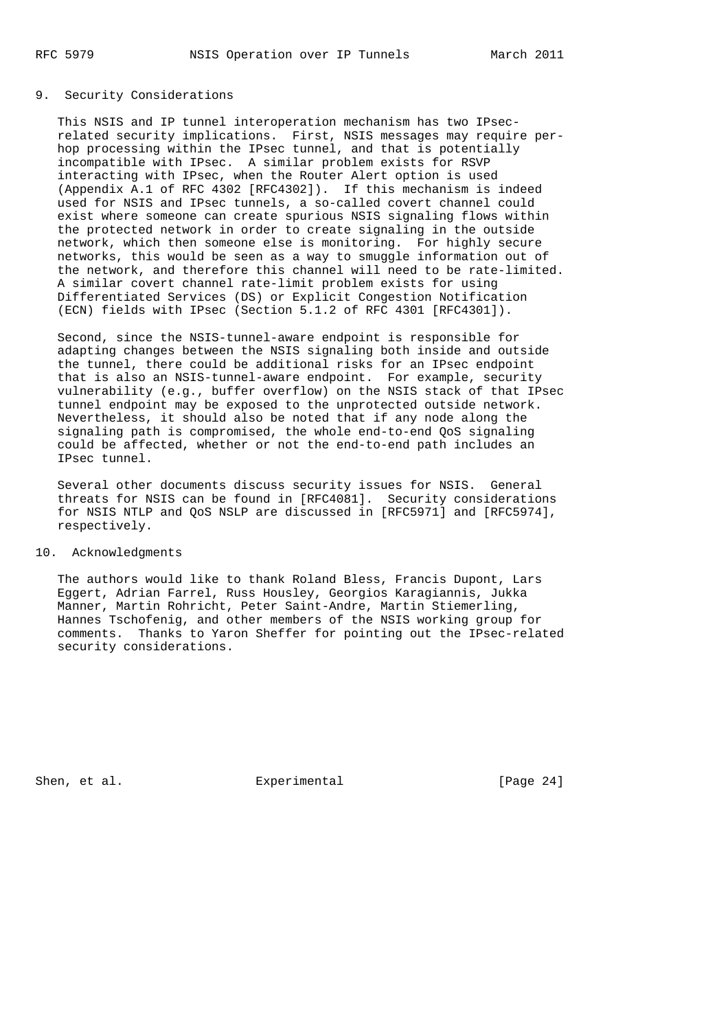# 9. Security Considerations

 This NSIS and IP tunnel interoperation mechanism has two IPsec related security implications. First, NSIS messages may require per hop processing within the IPsec tunnel, and that is potentially incompatible with IPsec. A similar problem exists for RSVP interacting with IPsec, when the Router Alert option is used (Appendix A.1 of RFC 4302 [RFC4302]). If this mechanism is indeed used for NSIS and IPsec tunnels, a so-called covert channel could exist where someone can create spurious NSIS signaling flows within the protected network in order to create signaling in the outside network, which then someone else is monitoring. For highly secure networks, this would be seen as a way to smuggle information out of the network, and therefore this channel will need to be rate-limited. A similar covert channel rate-limit problem exists for using Differentiated Services (DS) or Explicit Congestion Notification (ECN) fields with IPsec (Section 5.1.2 of RFC 4301 [RFC4301]).

 Second, since the NSIS-tunnel-aware endpoint is responsible for adapting changes between the NSIS signaling both inside and outside the tunnel, there could be additional risks for an IPsec endpoint that is also an NSIS-tunnel-aware endpoint. For example, security vulnerability (e.g., buffer overflow) on the NSIS stack of that IPsec tunnel endpoint may be exposed to the unprotected outside network. Nevertheless, it should also be noted that if any node along the signaling path is compromised, the whole end-to-end QoS signaling could be affected, whether or not the end-to-end path includes an IPsec tunnel.

 Several other documents discuss security issues for NSIS. General threats for NSIS can be found in [RFC4081]. Security considerations for NSIS NTLP and QoS NSLP are discussed in [RFC5971] and [RFC5974], respectively.

### 10. Acknowledgments

 The authors would like to thank Roland Bless, Francis Dupont, Lars Eggert, Adrian Farrel, Russ Housley, Georgios Karagiannis, Jukka Manner, Martin Rohricht, Peter Saint-Andre, Martin Stiemerling, Hannes Tschofenig, and other members of the NSIS working group for comments. Thanks to Yaron Sheffer for pointing out the IPsec-related security considerations.

Shen, et al. Experimental [Page 24]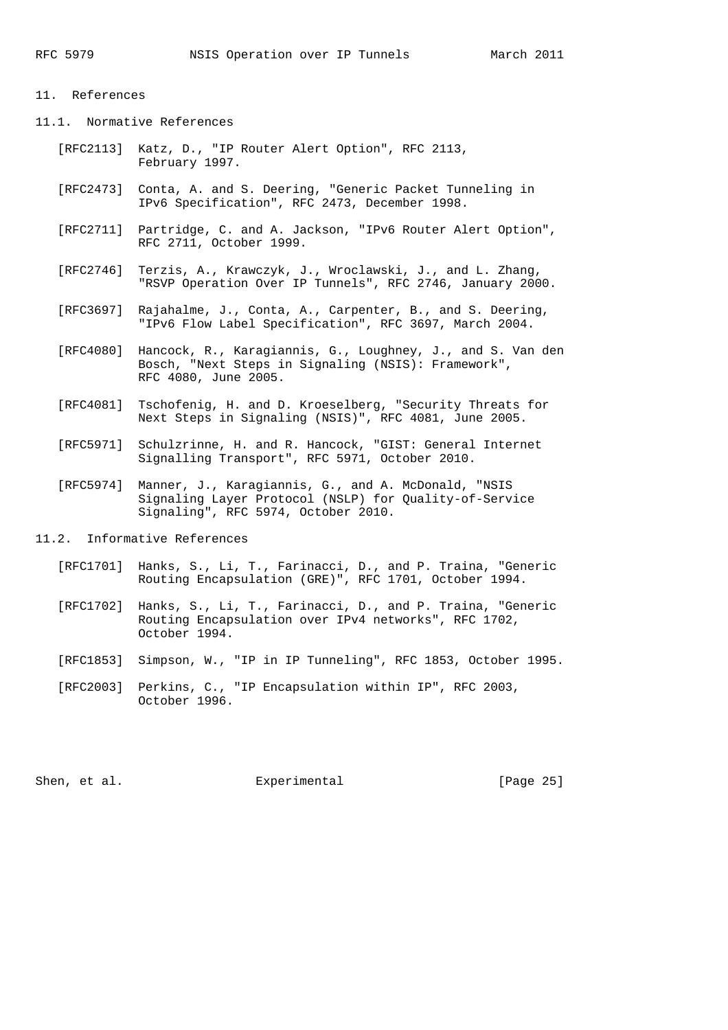### 11. References

- 11.1. Normative References
	- [RFC2113] Katz, D., "IP Router Alert Option", RFC 2113, February 1997.
	- [RFC2473] Conta, A. and S. Deering, "Generic Packet Tunneling in IPv6 Specification", RFC 2473, December 1998.
	- [RFC2711] Partridge, C. and A. Jackson, "IPv6 Router Alert Option", RFC 2711, October 1999.
	- [RFC2746] Terzis, A., Krawczyk, J., Wroclawski, J., and L. Zhang, "RSVP Operation Over IP Tunnels", RFC 2746, January 2000.
	- [RFC3697] Rajahalme, J., Conta, A., Carpenter, B., and S. Deering, "IPv6 Flow Label Specification", RFC 3697, March 2004.
	- [RFC4080] Hancock, R., Karagiannis, G., Loughney, J., and S. Van den Bosch, "Next Steps in Signaling (NSIS): Framework", RFC 4080, June 2005.
	- [RFC4081] Tschofenig, H. and D. Kroeselberg, "Security Threats for Next Steps in Signaling (NSIS)", RFC 4081, June 2005.
	- [RFC5971] Schulzrinne, H. and R. Hancock, "GIST: General Internet Signalling Transport", RFC 5971, October 2010.
	- [RFC5974] Manner, J., Karagiannis, G., and A. McDonald, "NSIS Signaling Layer Protocol (NSLP) for Quality-of-Service Signaling", RFC 5974, October 2010.

11.2. Informative References

- [RFC1701] Hanks, S., Li, T., Farinacci, D., and P. Traina, "Generic Routing Encapsulation (GRE)", RFC 1701, October 1994.
- [RFC1702] Hanks, S., Li, T., Farinacci, D., and P. Traina, "Generic Routing Encapsulation over IPv4 networks", RFC 1702, October 1994.
- [RFC1853] Simpson, W., "IP in IP Tunneling", RFC 1853, October 1995.
- [RFC2003] Perkins, C., "IP Encapsulation within IP", RFC 2003, October 1996.

Shen, et al. Experimental [Page 25]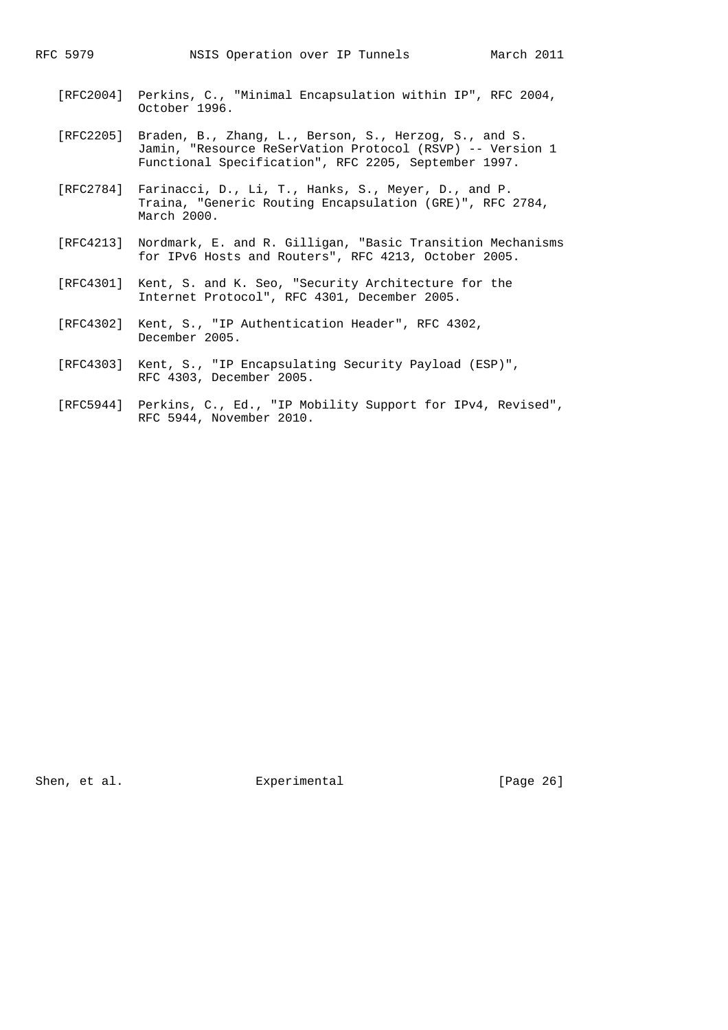- [RFC2004] Perkins, C., "Minimal Encapsulation within IP", RFC 2004, October 1996.
- [RFC2205] Braden, B., Zhang, L., Berson, S., Herzog, S., and S. Jamin, "Resource ReSerVation Protocol (RSVP) -- Version 1 Functional Specification", RFC 2205, September 1997.
- [RFC2784] Farinacci, D., Li, T., Hanks, S., Meyer, D., and P. Traina, "Generic Routing Encapsulation (GRE)", RFC 2784, March 2000.
- [RFC4213] Nordmark, E. and R. Gilligan, "Basic Transition Mechanisms for IPv6 Hosts and Routers", RFC 4213, October 2005.
- [RFC4301] Kent, S. and K. Seo, "Security Architecture for the Internet Protocol", RFC 4301, December 2005.
- [RFC4302] Kent, S., "IP Authentication Header", RFC 4302, December 2005.
- [RFC4303] Kent, S., "IP Encapsulating Security Payload (ESP)", RFC 4303, December 2005.
- [RFC5944] Perkins, C., Ed., "IP Mobility Support for IPv4, Revised", RFC 5944, November 2010.

Shen, et al. Experimental Experimental [Page 26]